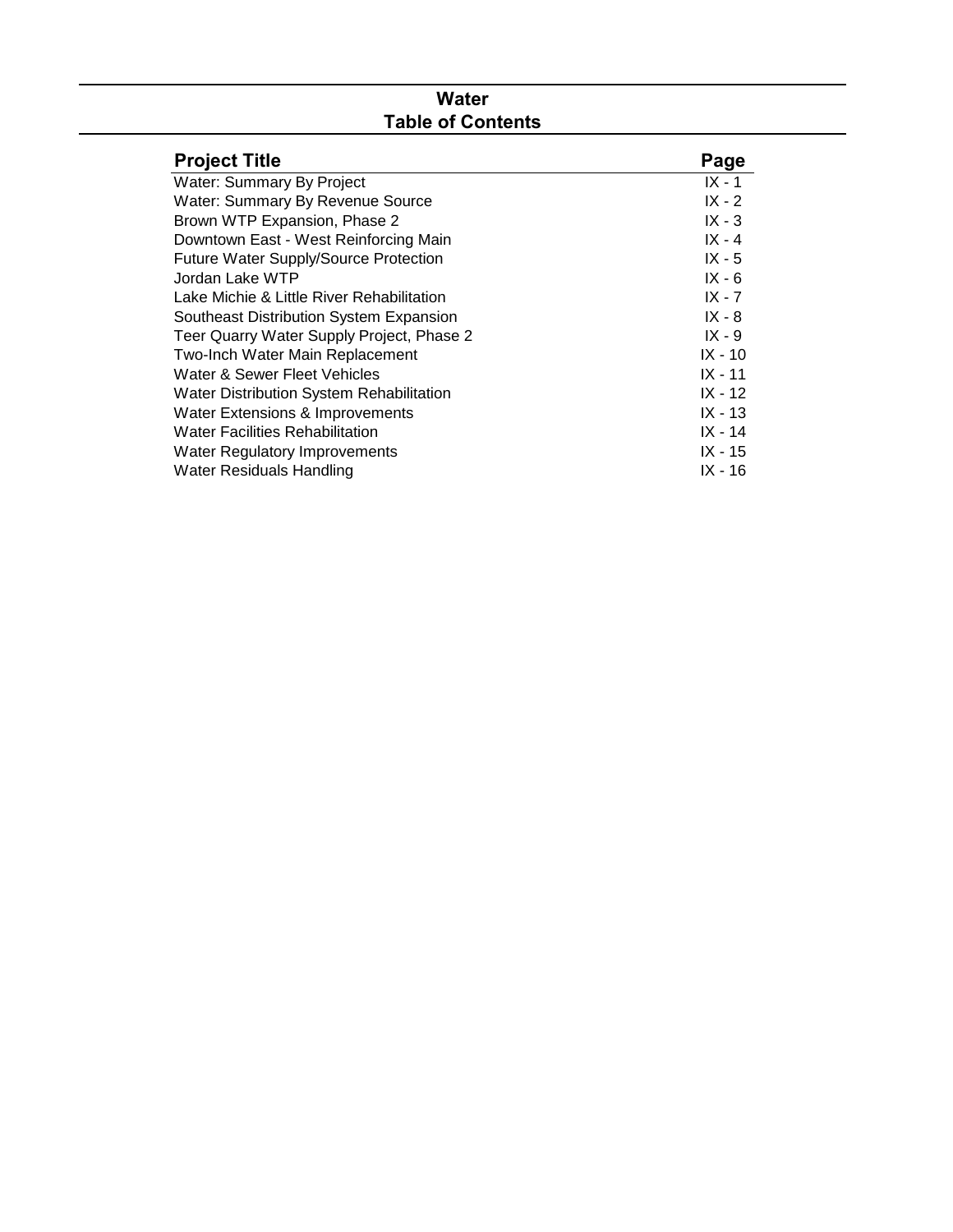# **Water Table of Contents**

| <b>Project Title</b>                      | Page      |
|-------------------------------------------|-----------|
| Water: Summary By Project                 | $IX - 1$  |
| Water: Summary By Revenue Source          | $IX - 2$  |
| Brown WTP Expansion, Phase 2              | $IX - 3$  |
| Downtown East - West Reinforcing Main     | $IX - 4$  |
| Future Water Supply/Source Protection     | $IX - 5$  |
| Jordan Lake WTP                           | $IX - 6$  |
| Lake Michie & Little River Rehabilitation | IX - 7    |
| Southeast Distribution System Expansion   | $IX - 8$  |
| Teer Quarry Water Supply Project, Phase 2 | $IX - 9$  |
| Two-Inch Water Main Replacement           | $IX - 10$ |
| Water & Sewer Fleet Vehicles              | $IX - 11$ |
| Water Distribution System Rehabilitation  | $IX - 12$ |
| Water Extensions & Improvements           | $IX - 13$ |
| <b>Water Facilities Rehabilitation</b>    | $IX - 14$ |
| <b>Water Regulatory Improvements</b>      | $IX - 15$ |
| Water Residuals Handling                  | $IX - 16$ |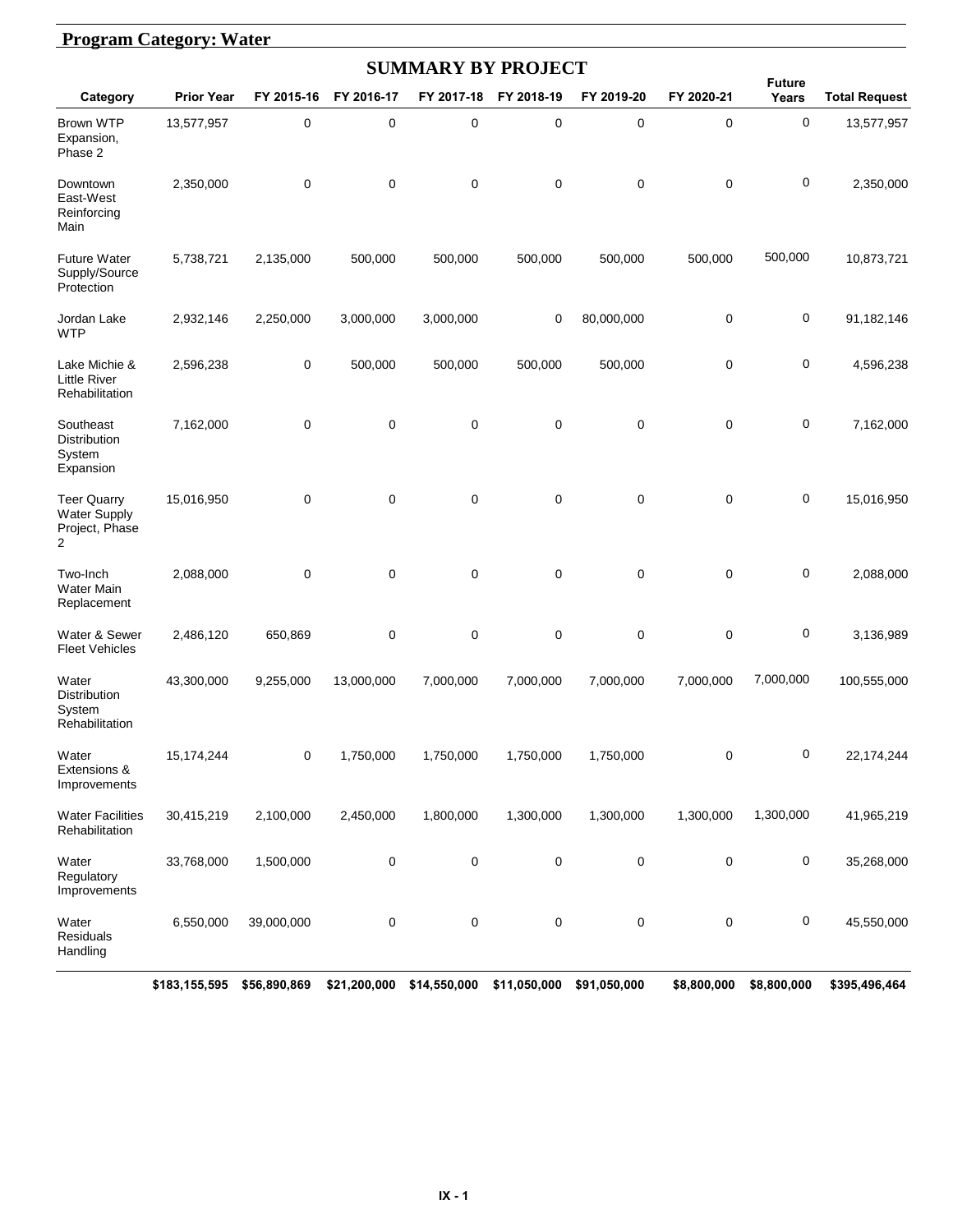#### **Program Category: Water**

| <b>SUMMARY BY PROJECT</b>                                        |                   |            |            |            |             |            |             |                        |                      |  |  |  |
|------------------------------------------------------------------|-------------------|------------|------------|------------|-------------|------------|-------------|------------------------|----------------------|--|--|--|
| Category                                                         | <b>Prior Year</b> | FY 2015-16 | FY 2016-17 | FY 2017-18 | FY 2018-19  | FY 2019-20 | FY 2020-21  | <b>Future</b><br>Years | <b>Total Request</b> |  |  |  |
| <b>Brown WTP</b><br>Expansion,<br>Phase 2                        | 13,577,957        | 0          | 0          | 0          | $\pmb{0}$   | 0          | 0           | $\mathbf 0$            | 13,577,957           |  |  |  |
| Downtown<br>East-West<br>Reinforcing<br>Main                     | 2,350,000         | 0          | 0          | 0          | 0           | 0          | 0           | $\mathbf 0$            | 2,350,000            |  |  |  |
| <b>Future Water</b><br>Supply/Source<br>Protection               | 5,738,721         | 2,135,000  | 500,000    | 500,000    | 500,000     | 500,000    | 500,000     | 500,000                | 10,873,721           |  |  |  |
| Jordan Lake<br><b>WTP</b>                                        | 2,932,146         | 2,250,000  | 3,000,000  | 3,000,000  | 0           | 80,000,000 | 0           | $\mathbf 0$            | 91,182,146           |  |  |  |
| Lake Michie &<br><b>Little River</b><br>Rehabilitation           | 2,596,238         | 0          | 500,000    | 500,000    | 500,000     | 500,000    | $\mathbf 0$ | 0                      | 4,596,238            |  |  |  |
| Southeast<br><b>Distribution</b><br>System<br>Expansion          | 7,162,000         | 0          | 0          | 0          | $\pmb{0}$   | 0          | 0           | $\mathbf 0$            | 7,162,000            |  |  |  |
| <b>Teer Quarry</b><br><b>Water Supply</b><br>Project, Phase<br>2 | 15,016,950        | 0          | 0          | $\pmb{0}$  | $\mathbf 0$ | 0          | 0           | $\pmb{0}$              | 15,016,950           |  |  |  |
| Two-Inch<br><b>Water Main</b><br>Replacement                     | 2,088,000         | 0          | 0          | $\pmb{0}$  | $\mathbf 0$ | 0          | 0           | $\mathbf 0$            | 2,088,000            |  |  |  |
| Water & Sewer<br><b>Fleet Vehicles</b>                           | 2,486,120         | 650,869    | 0          | 0          | 0           | 0          | 0           | $\pmb{0}$              | 3,136,989            |  |  |  |
| Water<br>Distribution<br>System<br>Rehabilitation                | 43,300,000        | 9,255,000  | 13,000,000 | 7,000,000  | 7,000,000   | 7,000,000  | 7,000,000   | 7,000,000              | 100,555,000          |  |  |  |
| Water<br>Extensions &<br>Improvements                            | 15,174,244        | 0          | 1,750,000  | 1,750,000  | 1,750,000   | 1,750,000  | 0           | $\mathbf 0$            | 22, 174, 244         |  |  |  |
| <b>Water Facilities</b><br>Rehabilitation                        | 30,415,219        | 2,100,000  | 2,450,000  | 1,800,000  | 1,300,000   | 1,300,000  | 1,300,000   | 1,300,000              | 41,965,219           |  |  |  |
| Water<br>Regulatory<br>Improvements                              | 33,768,000        | 1,500,000  | $\pmb{0}$  | 0          | 0           | 0          | 0           | 0                      | 35,268,000           |  |  |  |
| Water<br>Residuals<br>Handling                                   | 6,550,000         | 39,000,000 | 0          | $\pmb{0}$  | 0           | 0          | $\pmb{0}$   | $\pmb{0}$              | 45,550,000           |  |  |  |
|                                                                  |                   |            |            |            |             |            |             |                        |                      |  |  |  |

**\$183,155,595 \$56,890,869 \$21,200,000 \$14,550,000 \$11,050,000 \$91,050,000 \$8,800,000 \$8,800,000 \$395,496,464**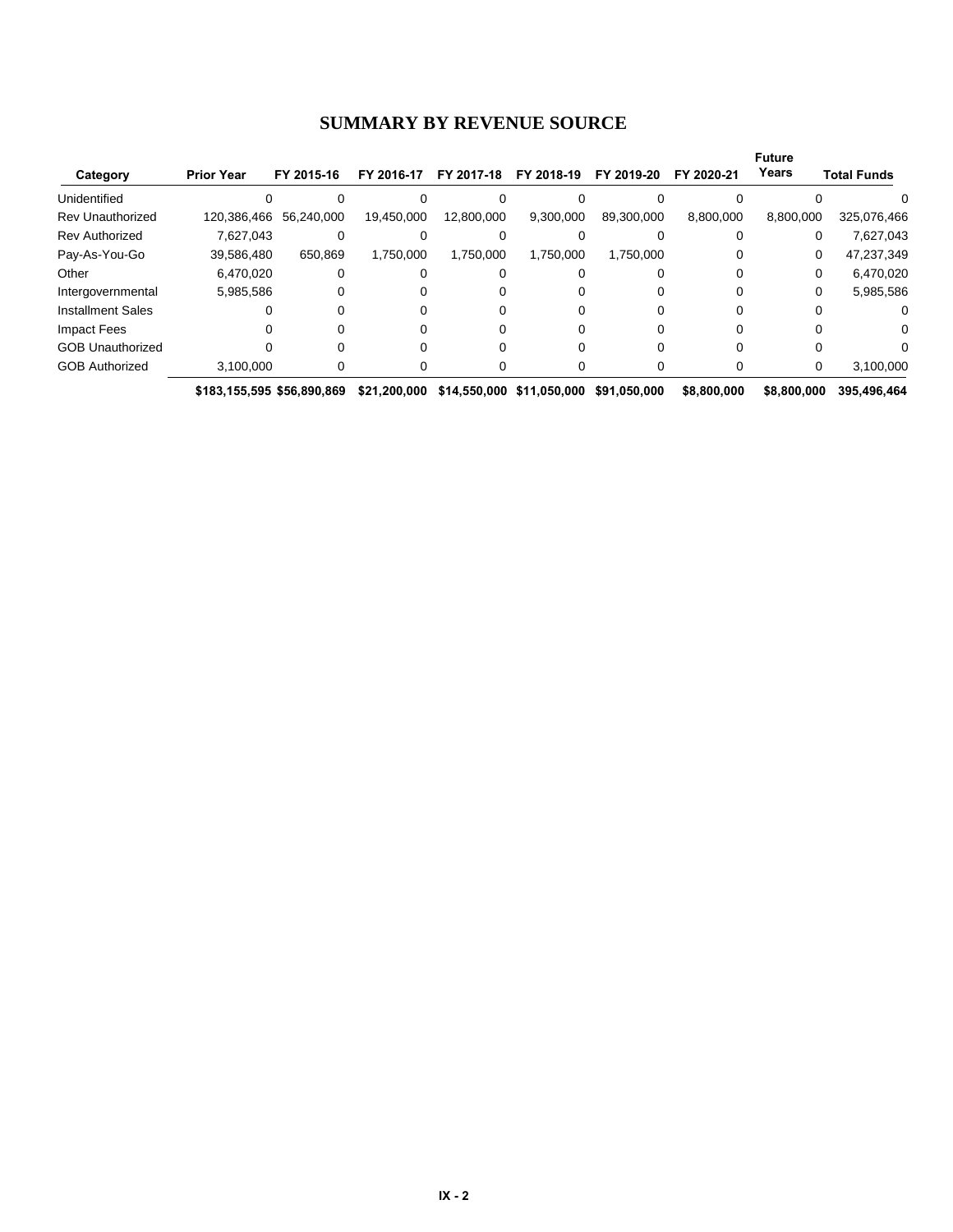#### **SUMMARY BY REVENUE SOURCE**

|                          |                            |            |              |            |                           |               |             | <b>Future</b> |                    |
|--------------------------|----------------------------|------------|--------------|------------|---------------------------|---------------|-------------|---------------|--------------------|
| Category                 | <b>Prior Year</b>          | FY 2015-16 | FY 2016-17   | FY 2017-18 | FY 2018-19                | 2019-20<br>FΥ | FY 2020-21  | Years         | <b>Total Funds</b> |
| Unidentified             |                            |            |              |            |                           |               |             |               |                    |
| <b>Rev Unauthorized</b>  | 120,386,466                | 56,240,000 | 19,450,000   | 12,800,000 | 9,300,000                 | 89,300,000    | 8,800,000   | 8,800,000     | 325,076,466        |
| <b>Rev Authorized</b>    | 7,627,043                  |            |              |            |                           |               |             | 0             | 7,627,043          |
| Pay-As-You-Go            | 39,586,480                 | 650.869    | 1,750,000    | 1,750,000  | 1.750.000                 | 1,750,000     |             | 0             | 47,237,349         |
| Other                    | 6,470,020                  |            |              |            |                           |               |             | 0             | 6,470,020          |
| Intergovernmental        | 5,985,586                  |            |              |            |                           |               |             | 0             | 5,985,586          |
| <b>Installment Sales</b> |                            |            |              |            |                           |               |             |               | 0                  |
| Impact Fees              |                            |            |              |            |                           |               |             |               | 0                  |
| <b>GOB Unauthorized</b>  |                            |            |              |            |                           |               |             |               |                    |
| <b>GOB Authorized</b>    | 3,100,000                  |            |              |            |                           |               |             | 0             | 3,100,000          |
|                          | \$183,155,595 \$56,890,869 |            | \$21.200.000 |            | \$14,550,000 \$11,050,000 | \$91.050.000  | \$8,800,000 | \$8,800,000   | 395.496.464        |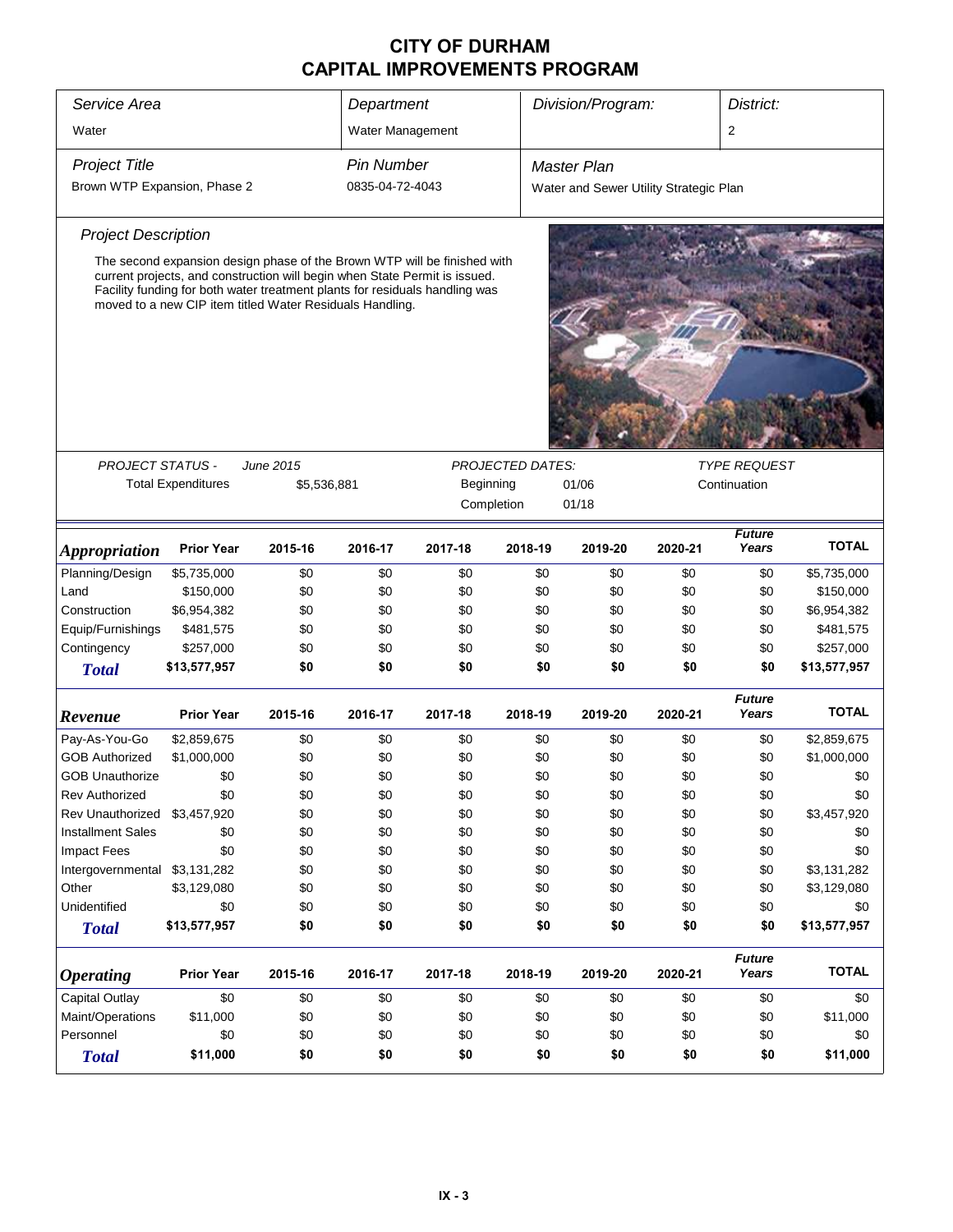| Service Area                 |                                                      |                                                                                                                                                                                                                                                                                                   | Department        |            |                         | Division/Program:                      |            | District:               |                 |
|------------------------------|------------------------------------------------------|---------------------------------------------------------------------------------------------------------------------------------------------------------------------------------------------------------------------------------------------------------------------------------------------------|-------------------|------------|-------------------------|----------------------------------------|------------|-------------------------|-----------------|
| Water                        |                                                      |                                                                                                                                                                                                                                                                                                   | Water Management  |            |                         |                                        |            | $\overline{\mathbf{c}}$ |                 |
| <b>Project Title</b>         |                                                      |                                                                                                                                                                                                                                                                                                   | <b>Pin Number</b> |            |                         | <b>Master Plan</b>                     |            |                         |                 |
| Brown WTP Expansion, Phase 2 |                                                      |                                                                                                                                                                                                                                                                                                   | 0835-04-72-4043   |            |                         | Water and Sewer Utility Strategic Plan |            |                         |                 |
| <b>Project Description</b>   |                                                      |                                                                                                                                                                                                                                                                                                   |                   |            |                         |                                        |            |                         |                 |
|                              |                                                      | The second expansion design phase of the Brown WTP will be finished with<br>current projects, and construction will begin when State Permit is issued.<br>Facility funding for both water treatment plants for residuals handling was<br>moved to a new CIP item titled Water Residuals Handling. |                   |            |                         |                                        |            |                         |                 |
| <b>PROJECT STATUS -</b>      |                                                      | June 2015                                                                                                                                                                                                                                                                                         |                   |            | <b>PROJECTED DATES:</b> |                                        |            | <b>TYPE REQUEST</b>     |                 |
|                              |                                                      | \$5,536,881                                                                                                                                                                                                                                                                                       |                   |            |                         | 01/06                                  |            | Continuation            |                 |
|                              | <b>Total Expenditures</b><br>Beginning<br>Completion |                                                                                                                                                                                                                                                                                                   |                   |            |                         | 01/18                                  |            |                         |                 |
|                              |                                                      |                                                                                                                                                                                                                                                                                                   |                   |            |                         |                                        |            |                         |                 |
| <i><b>Appropriation</b></i>  | <b>Prior Year</b>                                    | 2015-16                                                                                                                                                                                                                                                                                           | 2016-17           | 2017-18    | 2018-19                 | 2019-20                                | 2020-21    | <b>Future</b><br>Years  | <b>TOTAL</b>    |
| Planning/Design              | \$5,735,000                                          | \$0                                                                                                                                                                                                                                                                                               | \$0               | \$0        | \$0                     | \$0                                    | \$0        | \$0                     | \$5,735,000     |
| Land                         | \$150,000                                            | \$0                                                                                                                                                                                                                                                                                               | \$0               | \$0        | \$0                     | \$0                                    | \$0        | \$0                     | \$150,000       |
| Construction                 | \$6,954,382                                          | \$0                                                                                                                                                                                                                                                                                               | \$0               | \$0        | \$0                     | \$0                                    | \$0        | \$0                     | \$6,954,382     |
| Equip/Furnishings            | \$481,575                                            | \$0                                                                                                                                                                                                                                                                                               | \$0               | \$0        | \$0                     | \$0                                    | \$0        | \$0                     | \$481,575       |
| Contingency                  | \$257,000                                            | \$0                                                                                                                                                                                                                                                                                               | \$0               | \$0        | \$0                     | \$0                                    | \$0        | \$0                     | \$257,000       |
| <b>Total</b>                 | \$13,577,957                                         | \$0                                                                                                                                                                                                                                                                                               | \$0               | \$0        | \$0                     | \$0                                    | \$0        | \$0                     | \$13,577,957    |
| Revenue                      | <b>Prior Year</b>                                    | 2015-16                                                                                                                                                                                                                                                                                           | 2016-17           | 2017-18    | 2018-19                 | 2019-20                                | 2020-21    | <b>Future</b><br>Years  | <b>TOTAL</b>    |
| Pay-As-You-Go                | \$2,859,675                                          | \$0                                                                                                                                                                                                                                                                                               | \$0               | \$0        | \$0                     | \$0                                    | \$0        | \$0                     | \$2,859,675     |
| <b>GOB Authorized</b>        | \$1,000,000                                          | \$0                                                                                                                                                                                                                                                                                               | \$0               | \$0        | \$0                     | \$0                                    | \$0        | \$0                     | \$1,000,000     |
| <b>GOB Unauthorize</b>       | \$0                                                  | \$0                                                                                                                                                                                                                                                                                               | \$0               | \$0        | \$0                     | \$0                                    | \$0        | \$0                     | \$0             |
| Rev Authorized               | \$0                                                  | \$0                                                                                                                                                                                                                                                                                               | \$0               | \$0        | \$0                     | \$0                                    | \$0        | \$0                     | \$0             |
| Rev Unauthorized             | \$3,457,920                                          | \$0                                                                                                                                                                                                                                                                                               | \$0               | \$0        | \$0                     | \$0                                    | \$0        | \$0                     | \$3,457,920     |
| <b>Installment Sales</b>     | \$0                                                  | \$0                                                                                                                                                                                                                                                                                               | \$0               | \$0        | \$0                     | \$0                                    | \$0        | \$0                     | \$0             |
| <b>Impact Fees</b>           | \$0                                                  | \$0                                                                                                                                                                                                                                                                                               | \$0               | \$0        | \$0                     | \$0                                    | \$0        | \$0                     | \$0             |
| Intergovernmental            | \$3,131,282                                          | \$0                                                                                                                                                                                                                                                                                               | \$0               | \$0        | \$0                     | \$0                                    | \$0        | \$0                     | \$3,131,282     |
| Other                        | \$3,129,080                                          | \$0                                                                                                                                                                                                                                                                                               | \$0               | \$0        | \$0                     | \$0                                    | \$0        | \$0                     | \$3,129,080     |
| Unidentified                 | \$0                                                  | \$0                                                                                                                                                                                                                                                                                               | \$0               | \$0        | \$0                     | \$0                                    | \$0        | \$0                     | \$0             |
| <b>Total</b>                 | \$13,577,957                                         | \$0                                                                                                                                                                                                                                                                                               | \$0               | \$0        | \$0                     | \$0                                    | \$0        | \$0                     | \$13,577,957    |
| <b>Operating</b>             | <b>Prior Year</b>                                    | 2015-16                                                                                                                                                                                                                                                                                           | 2016-17           | 2017-18    | 2018-19                 | 2019-20                                | 2020-21    | <b>Future</b><br>Years  | <b>TOTAL</b>    |
| Capital Outlay               | \$0                                                  |                                                                                                                                                                                                                                                                                                   |                   |            |                         |                                        |            | \$0                     | \$0             |
| Maint/Operations             |                                                      | \$0                                                                                                                                                                                                                                                                                               | \$0<br>\$0        | \$0<br>\$0 | \$0                     | \$0                                    | \$0<br>\$0 | \$0                     |                 |
| Personnel                    | \$11,000<br>\$0                                      | \$0<br>\$0                                                                                                                                                                                                                                                                                        | \$0               | \$0        | \$0<br>\$0              | \$0<br>\$0                             | \$0        | \$0                     | \$11,000<br>\$0 |
| <b>Total</b>                 | \$11,000                                             | \$0                                                                                                                                                                                                                                                                                               | \$0               | \$0        | \$0                     | \$0                                    | \$0        | \$0                     | \$11,000        |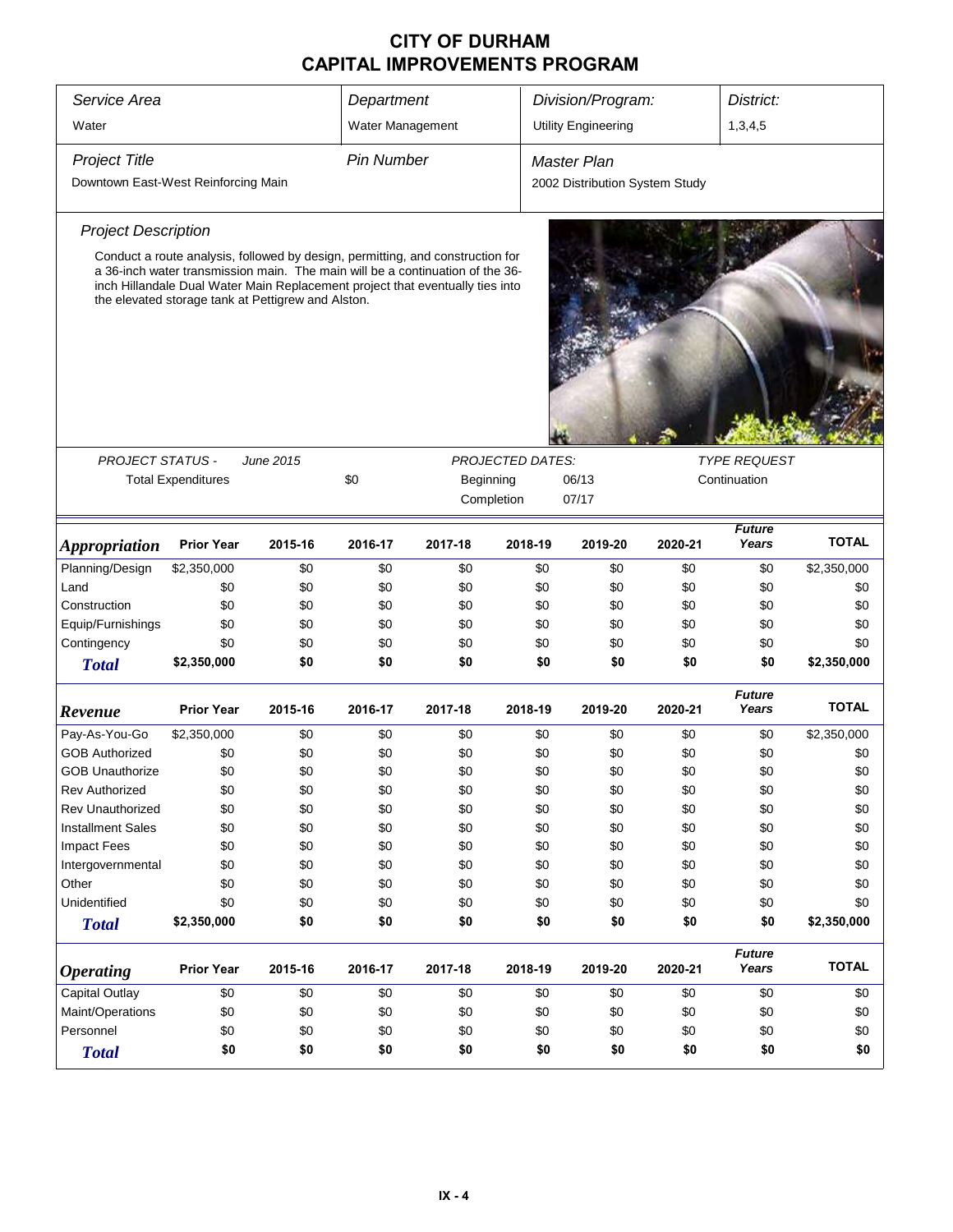| Service Area                        |                                                                                                                                                                                                                                                                                                        |           | Department        |                                                             |            | Division/Program:              |         |                        | District:    |  |
|-------------------------------------|--------------------------------------------------------------------------------------------------------------------------------------------------------------------------------------------------------------------------------------------------------------------------------------------------------|-----------|-------------------|-------------------------------------------------------------|------------|--------------------------------|---------|------------------------|--------------|--|
| Water                               |                                                                                                                                                                                                                                                                                                        |           | Water Management  |                                                             |            | <b>Utility Engineering</b>     |         | 1,3,4,5                |              |  |
| <b>Project Title</b>                |                                                                                                                                                                                                                                                                                                        |           | <b>Pin Number</b> |                                                             |            | <b>Master Plan</b>             |         |                        |              |  |
| Downtown East-West Reinforcing Main |                                                                                                                                                                                                                                                                                                        |           |                   |                                                             |            | 2002 Distribution System Study |         |                        |              |  |
| <b>Project Description</b>          |                                                                                                                                                                                                                                                                                                        |           |                   |                                                             |            |                                |         |                        |              |  |
|                                     | Conduct a route analysis, followed by design, permitting, and construction for<br>a 36-inch water transmission main. The main will be a continuation of the 36-<br>inch Hillandale Dual Water Main Replacement project that eventually ties into<br>the elevated storage tank at Pettigrew and Alston. |           |                   |                                                             |            |                                |         |                        |              |  |
|                                     |                                                                                                                                                                                                                                                                                                        |           |                   |                                                             |            |                                |         |                        |              |  |
| <b>PROJECT STATUS -</b>             |                                                                                                                                                                                                                                                                                                        | June 2015 |                   | <b>TYPE REQUEST</b><br><b>PROJECTED DATES:</b><br>Beginning |            |                                |         |                        |              |  |
|                                     | <b>Total Expenditures</b>                                                                                                                                                                                                                                                                              |           | \$0               |                                                             | Completion | 06/13<br>07/17                 |         | Continuation           |              |  |
| <b>Appropriation</b>                | <b>Prior Year</b>                                                                                                                                                                                                                                                                                      | 2015-16   | 2016-17           | 2017-18                                                     | 2018-19    | 2019-20                        | 2020-21 | <b>Future</b><br>Years | <b>TOTAL</b> |  |
| Planning/Design                     | \$2,350,000                                                                                                                                                                                                                                                                                            | \$0       | \$0               | \$0                                                         | \$0        | \$0                            | \$0     | \$0                    | \$2,350,000  |  |
| Land                                | \$0                                                                                                                                                                                                                                                                                                    | \$0       | \$0               | \$0                                                         | \$0        | \$0                            | \$0     | \$0                    | \$0          |  |
| Construction                        | \$0                                                                                                                                                                                                                                                                                                    | \$0       | \$0               | \$0                                                         | \$0        | \$0                            | \$0     | \$0                    | \$0          |  |
| Equip/Furnishings                   | \$0                                                                                                                                                                                                                                                                                                    | \$0       | \$0               | \$0                                                         | \$0        | \$0                            | \$0     | \$0                    | \$0          |  |
| Contingency                         | \$0                                                                                                                                                                                                                                                                                                    | \$0       | \$0               | \$0                                                         | \$0        | \$0                            | \$0     | \$0                    | \$0          |  |
| <b>Total</b>                        | \$2,350,000                                                                                                                                                                                                                                                                                            | \$0       | \$0               | \$0                                                         | \$0        | \$0                            | \$0     | \$0                    | \$2,350,000  |  |
| Revenue                             | <b>Prior Year</b>                                                                                                                                                                                                                                                                                      | 2015-16   | 2016-17           | 2017-18                                                     | 2018-19    | 2019-20                        | 2020-21 | <b>Future</b><br>Years | <b>TOTAL</b> |  |
| Pay-As-You-Go                       | \$2,350,000                                                                                                                                                                                                                                                                                            | \$0       | \$0               | \$0                                                         | \$0        | \$0                            | \$0     | \$0                    | \$2,350,000  |  |
| <b>GOB Authorized</b>               | \$0                                                                                                                                                                                                                                                                                                    | \$0       | \$0               | \$0                                                         | \$0        | \$0                            | \$0     | \$0                    | \$0          |  |
| <b>GOB Unauthorize</b>              | \$0                                                                                                                                                                                                                                                                                                    | \$0       | \$0               | \$0                                                         | \$0        | \$0                            | \$0     | \$0                    | \$0          |  |
| Rev Authorized                      | \$0                                                                                                                                                                                                                                                                                                    | \$0       | \$0               | \$0                                                         | \$0        | \$0                            | \$0     | \$0                    | \$0          |  |
| <b>Rev Unauthorized</b>             | \$0                                                                                                                                                                                                                                                                                                    | \$0       | \$0               | \$0                                                         | \$0        | \$0                            | \$0     | \$0                    | \$0          |  |
| <b>Installment Sales</b>            | \$0                                                                                                                                                                                                                                                                                                    | \$0       | \$0               | \$0                                                         | \$0        | \$0                            | \$0     | \$0                    | \$0          |  |
| <b>Impact Fees</b>                  | \$0                                                                                                                                                                                                                                                                                                    | \$0       | \$0               | \$0                                                         | \$0        | \$0                            | \$0     | \$0                    | \$0          |  |
| Intergovernmental                   | \$0                                                                                                                                                                                                                                                                                                    | \$0       | \$0               | \$0                                                         | \$0        | \$0                            | \$0     | \$0                    | \$0          |  |
| Other                               | \$0                                                                                                                                                                                                                                                                                                    | \$0       | \$0               | \$0                                                         | \$0        | \$0                            | \$0     | \$0                    | \$0          |  |
| Unidentified                        | \$0                                                                                                                                                                                                                                                                                                    | \$0       | \$0               | \$0                                                         | \$0        | \$0                            | \$0     | \$0                    | \$0          |  |
| <b>Total</b>                        | \$2,350,000                                                                                                                                                                                                                                                                                            | \$0       | \$0               | \$0                                                         | \$0        | \$0                            | \$0     | \$0                    | \$2,350,000  |  |
| <b>Operating</b>                    | <b>Prior Year</b>                                                                                                                                                                                                                                                                                      | 2015-16   | 2016-17           | 2017-18                                                     | 2018-19    | 2019-20                        | 2020-21 | <b>Future</b><br>Years | <b>TOTAL</b> |  |
| Capital Outlay                      | \$0                                                                                                                                                                                                                                                                                                    | \$0       | \$0               | \$0                                                         | \$0        | \$0                            | \$0     | \$0                    | \$0          |  |
| Maint/Operations                    | \$0                                                                                                                                                                                                                                                                                                    | \$0       | \$0               | \$0                                                         | \$0        | \$0                            | \$0     | \$0                    | \$0          |  |
| Personnel                           | \$0                                                                                                                                                                                                                                                                                                    | \$0       | \$0               | \$0                                                         | \$0        | \$0                            | \$0     | \$0                    | \$0          |  |
| <b>Total</b>                        | \$0                                                                                                                                                                                                                                                                                                    | \$0       | \$0               | \$0                                                         | \$0        | \$0                            | \$0     | \$0                    | \$0          |  |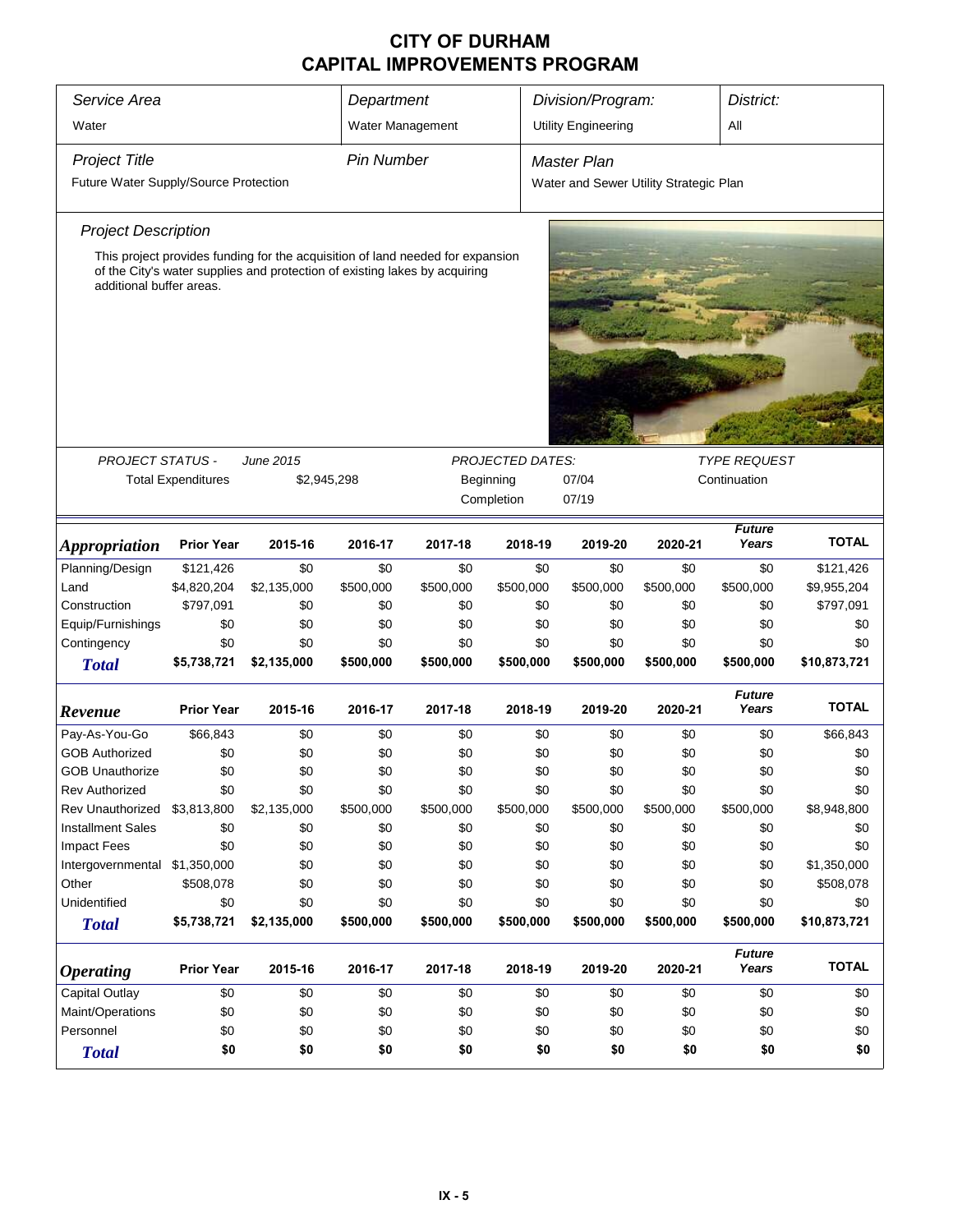| Service Area<br>Department<br>Division/Program:<br>District: |                                                       |                                                                                |                   |           |                         |                                        |           |                        |              |  |
|--------------------------------------------------------------|-------------------------------------------------------|--------------------------------------------------------------------------------|-------------------|-----------|-------------------------|----------------------------------------|-----------|------------------------|--------------|--|
| Water                                                        |                                                       |                                                                                | Water Management  |           |                         | <b>Utility Engineering</b>             | All       |                        |              |  |
| <b>Project Title</b>                                         |                                                       |                                                                                | <b>Pin Number</b> |           |                         | Master Plan                            |           |                        |              |  |
| Future Water Supply/Source Protection                        |                                                       |                                                                                |                   |           |                         | Water and Sewer Utility Strategic Plan |           |                        |              |  |
|                                                              |                                                       |                                                                                |                   |           |                         |                                        |           |                        |              |  |
| <b>Project Description</b>                                   |                                                       |                                                                                |                   |           |                         |                                        |           |                        |              |  |
|                                                              |                                                       | This project provides funding for the acquisition of land needed for expansion |                   |           |                         |                                        |           |                        |              |  |
| additional buffer areas.                                     |                                                       | of the City's water supplies and protection of existing lakes by acquiring     |                   |           |                         |                                        |           |                        |              |  |
|                                                              |                                                       |                                                                                |                   |           |                         |                                        |           |                        |              |  |
|                                                              |                                                       |                                                                                |                   |           |                         |                                        |           |                        |              |  |
|                                                              |                                                       |                                                                                |                   |           |                         |                                        |           |                        |              |  |
|                                                              |                                                       |                                                                                |                   |           |                         |                                        |           |                        |              |  |
|                                                              |                                                       |                                                                                |                   |           |                         |                                        |           |                        |              |  |
|                                                              |                                                       |                                                                                |                   |           |                         |                                        |           |                        |              |  |
|                                                              |                                                       |                                                                                |                   |           |                         |                                        |           |                        |              |  |
| <b>PROJECT STATUS -</b>                                      |                                                       | <b>June 2015</b>                                                               |                   |           | <b>PROJECTED DATES:</b> |                                        |           | <b>TYPE REQUEST</b>    |              |  |
|                                                              | <b>Total Expenditures</b><br>\$2,945,298<br>Beginning |                                                                                |                   |           |                         |                                        |           | Continuation           |              |  |
|                                                              |                                                       |                                                                                |                   |           | Completion              | 07/19                                  |           |                        |              |  |
|                                                              |                                                       |                                                                                |                   |           |                         |                                        |           | <b>Future</b>          |              |  |
| <i><b>Appropriation</b></i>                                  | <b>Prior Year</b>                                     | 2015-16                                                                        | 2016-17           | 2017-18   | 2018-19                 | 2019-20                                | 2020-21   | Years                  | <b>TOTAL</b> |  |
| Planning/Design                                              | \$121,426                                             | \$0                                                                            | \$0               | \$0       | \$0                     | \$0                                    | \$0       | \$0                    | \$121,426    |  |
| Land                                                         | \$4,820,204                                           | \$2,135,000                                                                    | \$500,000         | \$500,000 | \$500,000               | \$500,000                              | \$500,000 | \$500,000              | \$9,955,204  |  |
| Construction                                                 | \$797,091                                             | \$0                                                                            | \$0               | \$0       | \$0                     | \$0                                    | \$0       | \$0                    | \$797,091    |  |
| Equip/Furnishings                                            | \$0                                                   | \$0                                                                            | \$0               | \$0       | \$0                     | \$0                                    | \$0       | \$0                    | \$0          |  |
| Contingency                                                  | \$0                                                   | \$0                                                                            | \$0               | \$0       | \$0                     | \$0                                    | \$0       | \$0                    | \$0          |  |
| <b>Total</b>                                                 | \$5,738,721                                           | \$2,135,000                                                                    | \$500,000         | \$500,000 | \$500,000               | \$500,000                              | \$500,000 | \$500,000              | \$10,873,721 |  |
|                                                              |                                                       |                                                                                |                   |           |                         |                                        |           | <b>Future</b>          |              |  |
| Revenue                                                      | <b>Prior Year</b>                                     | 2015-16                                                                        | 2016-17           | 2017-18   | 2018-19                 | 2019-20                                | 2020-21   | Years                  | <b>TOTAL</b> |  |
| Pay-As-You-Go                                                | \$66,843                                              | \$0                                                                            | \$0               | \$0       | \$0                     | \$0                                    | \$0       | \$0                    | \$66,843     |  |
| <b>GOB Authorized</b>                                        | \$0                                                   | \$0                                                                            | \$0               | \$0       | \$0                     | \$0                                    | \$0       | \$0                    | \$0          |  |
| <b>GOB Unauthorize</b>                                       | \$0                                                   | \$0                                                                            | \$0               | \$0       | \$0                     | \$0                                    | \$0       | \$0                    | \$0          |  |
| <b>Rev Authorized</b>                                        | \$0                                                   | \$0                                                                            | \$0               | \$0       | \$0                     | \$0                                    | \$0       | \$0                    | \$0          |  |
| Rev Unauthorized                                             | \$3,813,800                                           | \$2,135,000                                                                    | \$500,000         | \$500,000 | \$500,000               | \$500,000                              | \$500,000 | \$500,000              | \$8,948,800  |  |
| <b>Installment Sales</b>                                     | \$0                                                   | \$0                                                                            | \$0               | \$0       | \$0                     | \$0                                    | \$0       | \$0                    | \$0          |  |
| <b>Impact Fees</b>                                           | \$0                                                   | \$0                                                                            | \$0               | \$0       | \$0                     | \$0                                    | \$0       | \$0                    | \$0          |  |
| Intergovernmental \$1,350,000                                |                                                       | \$0                                                                            | \$0               | \$0       | \$0                     | \$0                                    | \$0       | \$0                    | \$1,350,000  |  |
| Other                                                        | \$508,078                                             | \$0                                                                            | \$0               | \$0       | \$0                     | \$0                                    | \$0       | \$0                    | \$508,078    |  |
| Unidentified                                                 | \$0                                                   | \$0                                                                            | \$0               | \$0       | \$0                     | \$0                                    | \$0       | \$0                    | \$0          |  |
| <b>Total</b>                                                 | \$5,738,721                                           | \$2,135,000                                                                    | \$500,000         | \$500,000 | \$500,000               | \$500,000                              | \$500,000 | \$500,000              | \$10,873,721 |  |
| <b>Operating</b>                                             | <b>Prior Year</b>                                     | 2015-16                                                                        | 2016-17           | 2017-18   | 2018-19                 | 2019-20                                | 2020-21   | <b>Future</b><br>Years | <b>TOTAL</b> |  |
| <b>Capital Outlay</b>                                        | \$0                                                   | \$0                                                                            | \$0               | \$0       | \$0                     | \$0                                    | \$0       | \$0                    | \$0          |  |
| Maint/Operations                                             | \$0                                                   | \$0                                                                            | \$0               | \$0       | \$0                     | \$0                                    | \$0       | \$0                    | \$0          |  |
| Personnel                                                    | \$0                                                   | \$0                                                                            | \$0               | \$0       | \$0                     | \$0                                    | \$0       | \$0                    | \$0          |  |
| <b>Total</b>                                                 | \$0                                                   | \$0                                                                            | \$0               | \$0       | \$0                     | \$0                                    | \$0       | \$0                    | \$0          |  |
|                                                              |                                                       |                                                                                |                   |           |                         |                                        |           |                        |              |  |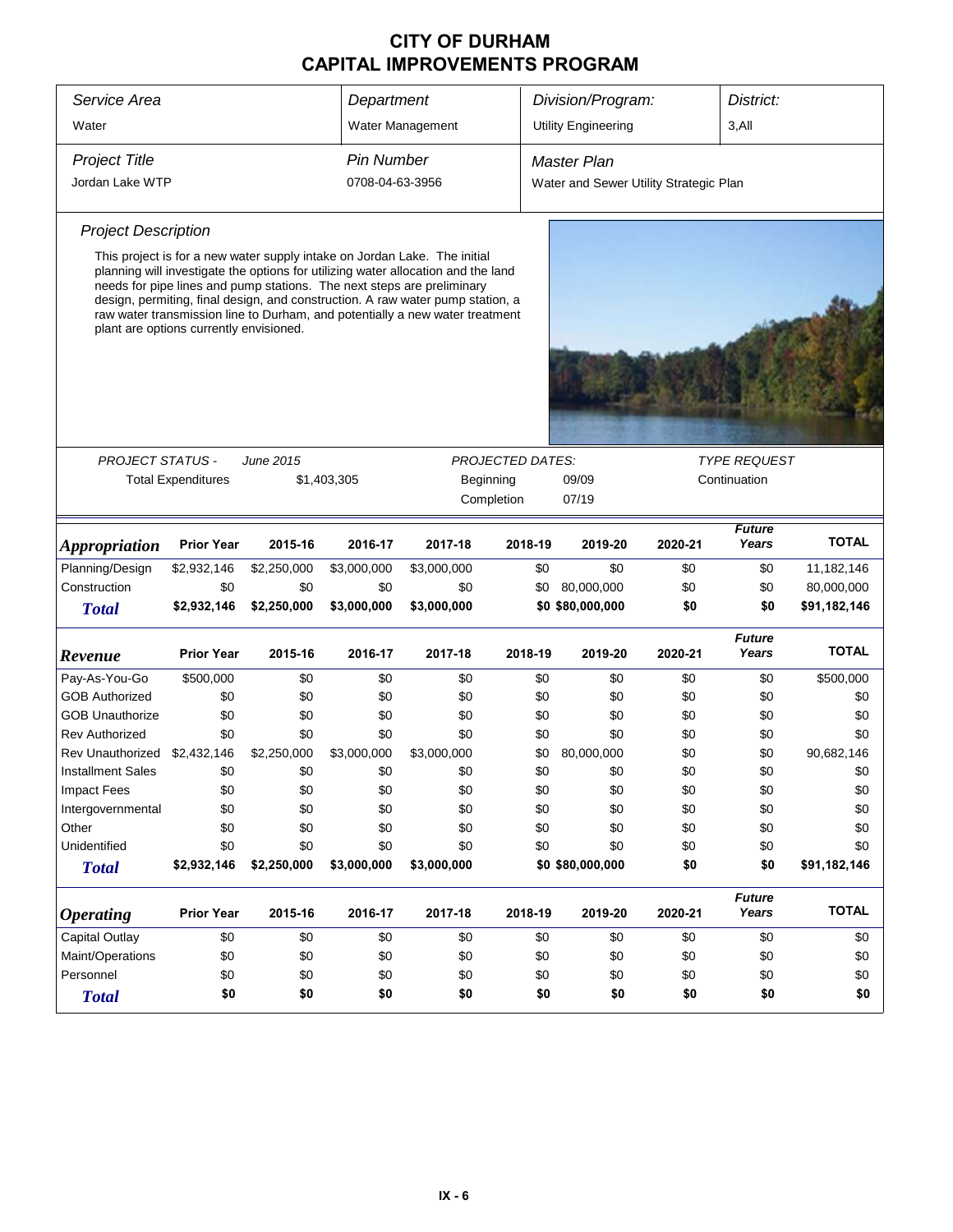| Service Area                |                                         |                  |                   | Division/Program:<br>District:<br>Department                                                                                                                                                                                                                                                                                                                                                               |            |                                        |         |                        |              |  |
|-----------------------------|-----------------------------------------|------------------|-------------------|------------------------------------------------------------------------------------------------------------------------------------------------------------------------------------------------------------------------------------------------------------------------------------------------------------------------------------------------------------------------------------------------------------|------------|----------------------------------------|---------|------------------------|--------------|--|
| Water                       |                                         |                  |                   | Water Management                                                                                                                                                                                                                                                                                                                                                                                           |            | <b>Utility Engineering</b>             |         | $3,$ All               |              |  |
| <b>Project Title</b>        |                                         |                  | <b>Pin Number</b> |                                                                                                                                                                                                                                                                                                                                                                                                            |            | <b>Master Plan</b>                     |         |                        |              |  |
| Jordan Lake WTP             |                                         |                  | 0708-04-63-3956   |                                                                                                                                                                                                                                                                                                                                                                                                            |            | Water and Sewer Utility Strategic Plan |         |                        |              |  |
|                             |                                         |                  |                   |                                                                                                                                                                                                                                                                                                                                                                                                            |            |                                        |         |                        |              |  |
| <b>Project Description</b>  |                                         |                  |                   |                                                                                                                                                                                                                                                                                                                                                                                                            |            |                                        |         |                        |              |  |
|                             | plant are options currently envisioned. |                  |                   | This project is for a new water supply intake on Jordan Lake. The initial<br>planning will investigate the options for utilizing water allocation and the land<br>needs for pipe lines and pump stations. The next steps are preliminary<br>design, permiting, final design, and construction. A raw water pump station, a<br>raw water transmission line to Durham, and potentially a new water treatment |            |                                        |         |                        |              |  |
|                             |                                         |                  |                   |                                                                                                                                                                                                                                                                                                                                                                                                            |            |                                        |         |                        |              |  |
| <b>PROJECT STATUS -</b>     |                                         | <b>June 2015</b> |                   | <b>PROJECTED DATES:</b><br><b>TYPE REQUEST</b>                                                                                                                                                                                                                                                                                                                                                             |            |                                        |         |                        |              |  |
|                             | <b>Total Expenditures</b>               |                  | \$1,403,305       | 09/09<br>Continuation<br>Beginning                                                                                                                                                                                                                                                                                                                                                                         |            |                                        |         |                        |              |  |
|                             |                                         |                  |                   |                                                                                                                                                                                                                                                                                                                                                                                                            | Completion | 07/19                                  |         |                        |              |  |
| <i><b>Appropriation</b></i> | <b>Prior Year</b>                       | 2015-16          | 2016-17           | 2017-18                                                                                                                                                                                                                                                                                                                                                                                                    | 2018-19    | 2019-20                                | 2020-21 | <b>Future</b><br>Years | <b>TOTAL</b> |  |
| Planning/Design             | \$2,932,146                             | \$2,250,000      | \$3,000,000       | \$3,000,000                                                                                                                                                                                                                                                                                                                                                                                                | \$0        | \$0                                    | \$0     | \$0                    | 11,182,146   |  |
| Construction                | \$0                                     | \$0              | \$0               | \$0                                                                                                                                                                                                                                                                                                                                                                                                        | \$0        | 80,000,000                             | \$0     | \$0                    | 80,000,000   |  |
| <b>Total</b>                | \$2,932,146                             | \$2,250,000      | \$3,000,000       | \$3,000,000                                                                                                                                                                                                                                                                                                                                                                                                |            | \$0 \$80,000,000                       | \$0     | \$0                    | \$91,182,146 |  |
| Revenue                     | <b>Prior Year</b>                       | 2015-16          | 2016-17           | 2017-18                                                                                                                                                                                                                                                                                                                                                                                                    | 2018-19    | 2019-20                                | 2020-21 | <b>Future</b><br>Years | <b>TOTAL</b> |  |
| Pay-As-You-Go               | \$500,000                               | \$0              | \$0               | \$0                                                                                                                                                                                                                                                                                                                                                                                                        | \$0        | \$0                                    | \$0     | \$0                    | \$500,000    |  |
| <b>GOB Authorized</b>       | \$0                                     | \$0              | \$0               | \$0                                                                                                                                                                                                                                                                                                                                                                                                        | \$0        | \$0                                    | \$0     | \$0                    | \$0          |  |
| <b>GOB Unauthorize</b>      | \$0                                     | \$0              | \$0               | \$0                                                                                                                                                                                                                                                                                                                                                                                                        | \$0        | \$0                                    | \$0     | \$0                    | \$0          |  |
| <b>Rev Authorized</b>       | \$0                                     | \$0              | \$0               | \$0                                                                                                                                                                                                                                                                                                                                                                                                        | \$0        | \$0                                    | \$0     | \$0                    | \$0          |  |
| Rev Unauthorized            | \$2,432,146                             | \$2,250,000      | \$3,000,000       | \$3,000,000                                                                                                                                                                                                                                                                                                                                                                                                | \$0        | 80,000,000                             | \$0     | \$0                    | 90,682,146   |  |
| <b>Installment Sales</b>    | \$0                                     | \$0              | \$0               | \$0                                                                                                                                                                                                                                                                                                                                                                                                        | \$0        | \$0                                    | \$0     | \$0                    | \$0          |  |
| <b>Impact Fees</b>          | \$0                                     | \$0              | \$0               | \$0                                                                                                                                                                                                                                                                                                                                                                                                        | \$0        | \$0                                    | \$0     | \$0                    | \$0          |  |
| Intergovernmental           | \$0                                     | \$0              | \$0               | \$0                                                                                                                                                                                                                                                                                                                                                                                                        | \$0        | \$0                                    | \$0     | \$0                    | \$0          |  |
| Other                       | \$0                                     | \$0              | \$0               | \$0                                                                                                                                                                                                                                                                                                                                                                                                        | \$0        | \$0                                    | \$0     | \$0                    | \$0          |  |
| Unidentified                | \$0                                     | \$0              | \$0               | \$0                                                                                                                                                                                                                                                                                                                                                                                                        | \$0        | \$0                                    | \$0     | \$0                    | \$0          |  |
| <b>Total</b>                | \$2,932,146                             | \$2,250,000      | \$3,000,000       | \$3,000,000                                                                                                                                                                                                                                                                                                                                                                                                |            | \$0 \$80,000,000                       | \$0     | \$0                    | \$91,182,146 |  |
| <b>Operating</b>            | <b>Prior Year</b>                       | 2015-16          | 2016-17           | 2017-18                                                                                                                                                                                                                                                                                                                                                                                                    | 2018-19    | 2019-20                                | 2020-21 | <b>Future</b><br>Years | <b>TOTAL</b> |  |
| <b>Capital Outlay</b>       | \$0                                     | \$0              | \$0               | \$0                                                                                                                                                                                                                                                                                                                                                                                                        | \$0        | \$0                                    | \$0     | \$0                    | \$0          |  |
| Maint/Operations            | \$0                                     | \$0              | \$0               | \$0                                                                                                                                                                                                                                                                                                                                                                                                        | \$0        | \$0                                    | \$0     | \$0                    | \$0          |  |
| Personnel                   | \$0                                     | \$0              | \$0               | \$0                                                                                                                                                                                                                                                                                                                                                                                                        | \$0        | \$0                                    | \$0     | \$0                    | \$0          |  |
| <b>Total</b>                | \$0                                     | \$0              | \$0               | \$0                                                                                                                                                                                                                                                                                                                                                                                                        | \$0        | \$0                                    | \$0     | \$0                    | \$0          |  |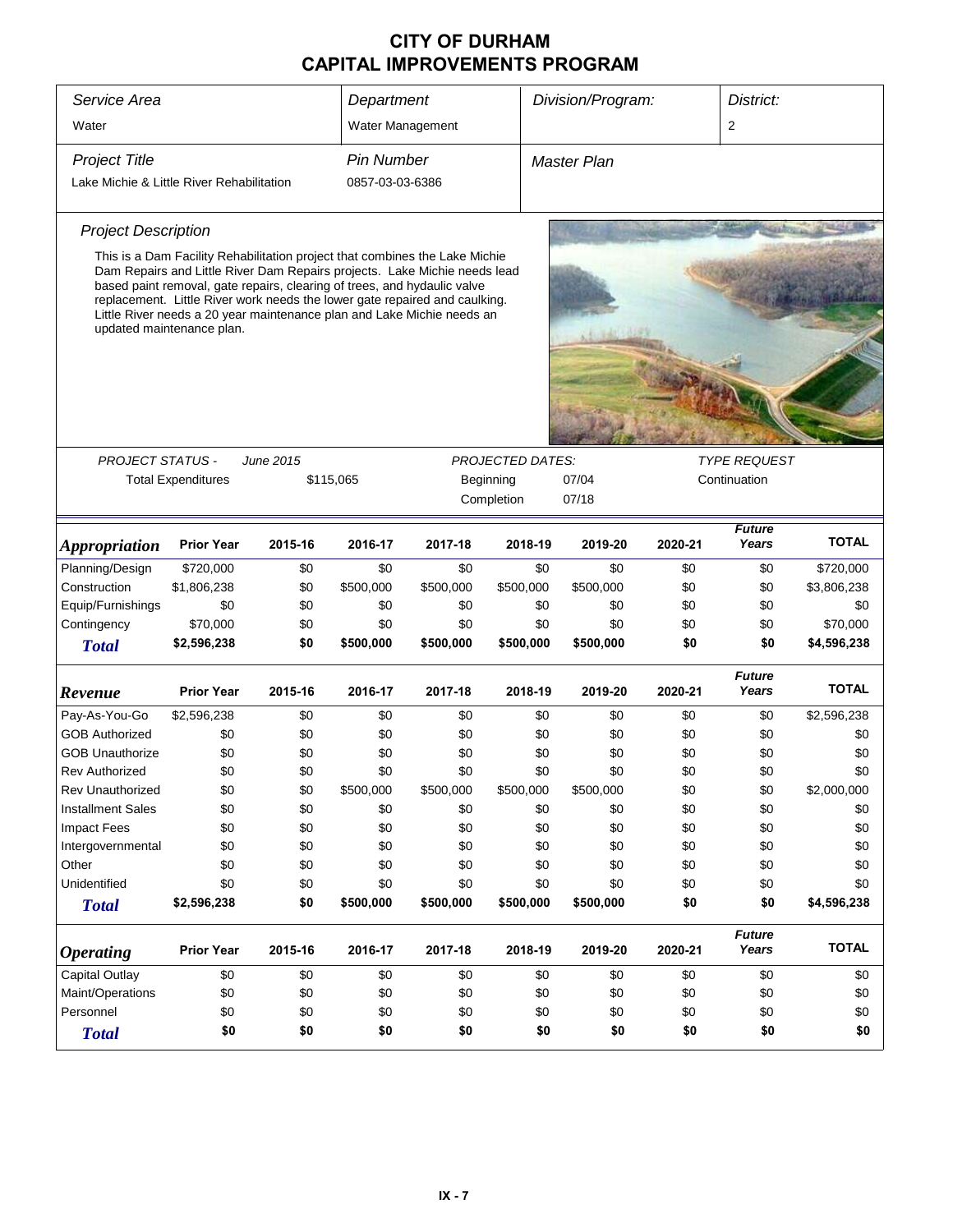| Service Area<br>Water                     |                           | Department<br>Water Management                                                                                                                                                                                                                                                                                                                                                               |                   |           | Division/Program:       |                    | District:<br>$\overline{2}$ |                        |              |
|-------------------------------------------|---------------------------|----------------------------------------------------------------------------------------------------------------------------------------------------------------------------------------------------------------------------------------------------------------------------------------------------------------------------------------------------------------------------------------------|-------------------|-----------|-------------------------|--------------------|-----------------------------|------------------------|--------------|
|                                           |                           |                                                                                                                                                                                                                                                                                                                                                                                              |                   |           |                         |                    |                             |                        |              |
| <b>Project Title</b>                      |                           |                                                                                                                                                                                                                                                                                                                                                                                              | <b>Pin Number</b> |           |                         | <b>Master Plan</b> |                             |                        |              |
| Lake Michie & Little River Rehabilitation |                           |                                                                                                                                                                                                                                                                                                                                                                                              | 0857-03-03-6386   |           |                         |                    |                             |                        |              |
| <b>Project Description</b>                |                           |                                                                                                                                                                                                                                                                                                                                                                                              |                   |           |                         |                    |                             |                        |              |
| updated maintenance plan.                 |                           | This is a Dam Facility Rehabilitation project that combines the Lake Michie<br>Dam Repairs and Little River Dam Repairs projects. Lake Michie needs lead<br>based paint removal, gate repairs, clearing of trees, and hydaulic valve<br>replacement. Little River work needs the lower gate repaired and caulking.<br>Little River needs a 20 year maintenance plan and Lake Michie needs an |                   |           |                         |                    |                             |                        |              |
|                                           |                           |                                                                                                                                                                                                                                                                                                                                                                                              |                   |           |                         |                    |                             |                        |              |
| <b>PROJECT STATUS -</b>                   |                           | <b>June 2015</b>                                                                                                                                                                                                                                                                                                                                                                             |                   |           | <b>PROJECTED DATES:</b> |                    |                             | <b>TYPE REQUEST</b>    |              |
|                                           | <b>Total Expenditures</b> | \$115,065                                                                                                                                                                                                                                                                                                                                                                                    |                   |           | Beginning               | 07/04              |                             | Continuation           |              |
|                                           |                           |                                                                                                                                                                                                                                                                                                                                                                                              |                   |           | Completion              | 07/18              |                             |                        |              |
| <b>Appropriation</b>                      | <b>Prior Year</b>         | 2015-16                                                                                                                                                                                                                                                                                                                                                                                      | 2016-17           | 2017-18   | 2018-19                 | 2019-20            | 2020-21                     | <b>Future</b><br>Years | <b>TOTAL</b> |
| Planning/Design                           | \$720,000                 | \$0                                                                                                                                                                                                                                                                                                                                                                                          | \$0               | \$0       | \$0                     | \$0                | \$0                         | \$0                    | \$720,000    |
| Construction                              | \$1,806,238               | \$0                                                                                                                                                                                                                                                                                                                                                                                          | \$500,000         | \$500,000 | \$500,000               | \$500,000          | \$0                         | \$0                    | \$3,806,238  |
| Equip/Furnishings                         | \$0                       | \$0                                                                                                                                                                                                                                                                                                                                                                                          | \$0               | \$0       | \$0                     | \$0                | \$0                         | \$0                    | \$0          |
| Contingency                               | \$70,000                  | \$0                                                                                                                                                                                                                                                                                                                                                                                          | \$0               | \$0       | \$0                     | \$0                | \$0                         | \$0                    | \$70,000     |
| <b>Total</b>                              | \$2,596,238               | \$0                                                                                                                                                                                                                                                                                                                                                                                          | \$500,000         | \$500,000 | \$500,000               | \$500,000          | \$0                         | \$0                    | \$4,596,238  |
| Revenue                                   | <b>Prior Year</b>         | 2015-16                                                                                                                                                                                                                                                                                                                                                                                      | 2016-17           | 2017-18   | 2018-19                 | 2019-20            | 2020-21                     | <b>Future</b><br>Years | <b>TOTAL</b> |
| Pay-As-You-Go                             | \$2,596,238               | \$0                                                                                                                                                                                                                                                                                                                                                                                          | \$0               | \$0       | \$0                     | \$0                | \$0                         | \$0                    | \$2,596,238  |
| <b>GOB Authorized</b>                     | \$0                       | \$0                                                                                                                                                                                                                                                                                                                                                                                          | \$0               | \$0       | \$0                     | \$0                | \$0                         | \$0                    | \$0          |
| <b>GOB Unauthorize</b>                    | \$0                       | \$0                                                                                                                                                                                                                                                                                                                                                                                          | \$0               | \$0       | \$0                     | \$0                | \$0                         | \$0                    | \$0          |
| Rev Authorized                            | \$0                       | \$0                                                                                                                                                                                                                                                                                                                                                                                          | \$0               | \$0       | \$0                     | \$0                | \$0                         | \$0                    | \$0          |
| Rev Unauthorized                          | \$0                       | \$0                                                                                                                                                                                                                                                                                                                                                                                          | \$500,000         | \$500,000 | \$500,000               | \$500,000          | \$0                         | \$0                    | \$2,000,000  |
| <b>Installment Sales</b>                  | \$0                       | \$0                                                                                                                                                                                                                                                                                                                                                                                          | \$0               | \$0       | \$0                     | \$0                | \$0                         | \$0                    | \$0          |
| <b>Impact Fees</b>                        | \$0                       | \$0                                                                                                                                                                                                                                                                                                                                                                                          | \$0               | \$0       | \$0                     | \$0                | \$0                         | \$0                    | \$0          |
| Intergovernmental                         | \$0                       | \$0                                                                                                                                                                                                                                                                                                                                                                                          | \$0               | \$0       | \$0                     | \$0                | \$0                         | \$0                    | \$0          |
| Other                                     | \$0                       | \$0                                                                                                                                                                                                                                                                                                                                                                                          | \$0               | \$0       | \$0                     | \$0                | \$0                         | \$0                    | \$0          |
| Unidentified                              | \$0                       | \$0                                                                                                                                                                                                                                                                                                                                                                                          | \$0               | \$0       | \$0                     | \$0                | \$0                         | \$0                    | \$0          |
| <b>Total</b>                              | \$2,596,238               | \$0                                                                                                                                                                                                                                                                                                                                                                                          | \$500,000         | \$500,000 | \$500,000               | \$500,000          | \$0                         | \$0                    | \$4,596,238  |
| <i><b>Operating</b></i>                   | <b>Prior Year</b>         | 2015-16                                                                                                                                                                                                                                                                                                                                                                                      | 2016-17           | 2017-18   | 2018-19                 | 2019-20            | 2020-21                     | <b>Future</b><br>Years | <b>TOTAL</b> |
| <b>Capital Outlay</b>                     | \$0                       | \$0                                                                                                                                                                                                                                                                                                                                                                                          | \$0               | \$0       | \$0                     | \$0                | \$0                         | \$0                    | \$0          |
| Maint/Operations                          | \$0                       | \$0                                                                                                                                                                                                                                                                                                                                                                                          | \$0               | \$0       | \$0                     | \$0                | \$0                         | \$0                    | \$0          |
| Personnel                                 | \$0                       | \$0                                                                                                                                                                                                                                                                                                                                                                                          | \$0               | \$0       | \$0                     | \$0                | \$0                         | \$0                    | \$0          |
| <b>Total</b>                              | \$0                       | \$0                                                                                                                                                                                                                                                                                                                                                                                          | \$0               | \$0       | \$0                     | \$0                | \$0                         | \$0                    | \$0          |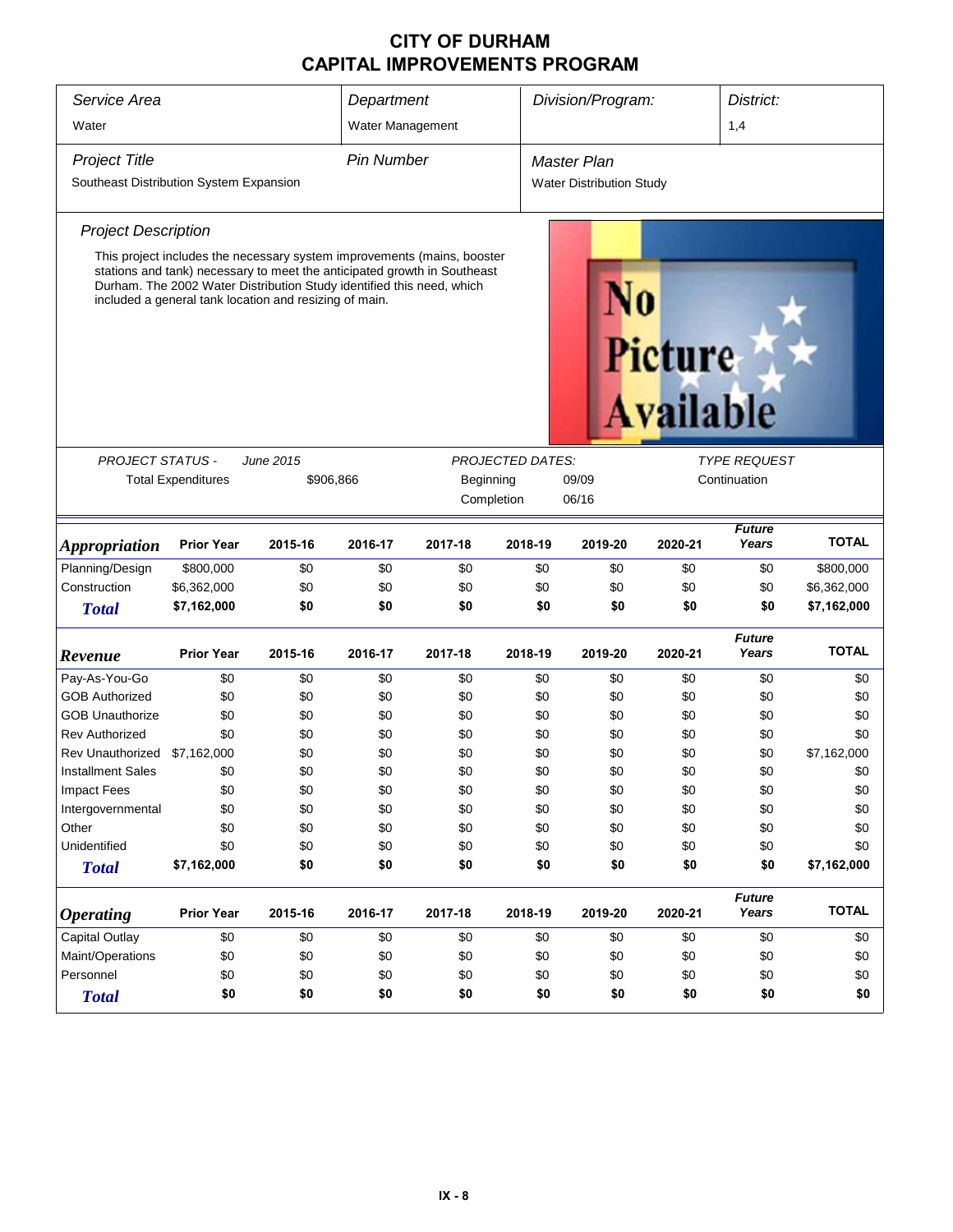| Service Area                            |                                                                                                                                                                                                                                                                                        |                  | Department        |                         |         | Division/Program:               |                                    | District:              |              |
|-----------------------------------------|----------------------------------------------------------------------------------------------------------------------------------------------------------------------------------------------------------------------------------------------------------------------------------------|------------------|-------------------|-------------------------|---------|---------------------------------|------------------------------------|------------------------|--------------|
| Water                                   |                                                                                                                                                                                                                                                                                        |                  | Water Management  |                         |         |                                 |                                    | 1,4                    |              |
| <b>Project Title</b>                    |                                                                                                                                                                                                                                                                                        |                  | <b>Pin Number</b> |                         |         | <b>Master Plan</b>              |                                    |                        |              |
| Southeast Distribution System Expansion |                                                                                                                                                                                                                                                                                        |                  |                   |                         |         | <b>Water Distribution Study</b> |                                    |                        |              |
| <b>Project Description</b>              |                                                                                                                                                                                                                                                                                        |                  |                   |                         |         |                                 |                                    |                        |              |
|                                         | This project includes the necessary system improvements (mains, booster<br>stations and tank) necessary to meet the anticipated growth in Southeast<br>Durham. The 2002 Water Distribution Study identified this need, which<br>included a general tank location and resizing of main. |                  |                   |                         |         |                                 | <b>Picture</b><br><b>Available</b> |                        |              |
|                                         |                                                                                                                                                                                                                                                                                        |                  |                   |                         |         |                                 |                                    |                        |              |
| PROJECT STATUS -                        |                                                                                                                                                                                                                                                                                        | <b>June 2015</b> |                   | <b>PROJECTED DATES:</b> |         |                                 |                                    | <b>TYPE REQUEST</b>    |              |
|                                         | <b>Total Expenditures</b>                                                                                                                                                                                                                                                              | \$906,866        |                   | 09/09<br>Beginning      |         |                                 | Continuation                       |                        |              |
|                                         |                                                                                                                                                                                                                                                                                        |                  |                   | Completion              |         | 06/16                           |                                    |                        |              |
| <b>Appropriation</b>                    | <b>Prior Year</b>                                                                                                                                                                                                                                                                      | 2015-16          | 2016-17           | 2017-18                 | 2018-19 | 2019-20                         | 2020-21                            | <b>Future</b><br>Years | <b>TOTAL</b> |
| Planning/Design                         | \$800,000                                                                                                                                                                                                                                                                              | \$0              | \$0               | \$0                     | \$0     | \$0                             | \$0                                | \$0                    | \$800,000    |
| Construction                            | \$6,362,000                                                                                                                                                                                                                                                                            | \$0              | \$0               | \$0                     | \$0     | \$0                             | \$0                                | \$0                    | \$6,362,000  |
| <b>Total</b>                            | \$7,162,000                                                                                                                                                                                                                                                                            | \$0              | \$0               | \$0                     | \$0     | \$0                             | \$0                                | \$0                    | \$7,162,000  |
|                                         |                                                                                                                                                                                                                                                                                        |                  |                   |                         |         |                                 |                                    | <b>Future</b>          |              |
| Revenue                                 | <b>Prior Year</b>                                                                                                                                                                                                                                                                      | 2015-16          | 2016-17           | 2017-18                 | 2018-19 | 2019-20                         | 2020-21                            | Years                  | <b>TOTAL</b> |
| Pay-As-You-Go                           | \$0                                                                                                                                                                                                                                                                                    | \$0              | \$0               | \$0                     | \$0     | \$0                             | \$0                                | \$0                    | \$0          |
| <b>GOB Authorized</b>                   | \$0                                                                                                                                                                                                                                                                                    | \$0              | \$0               | \$0                     | \$0     | \$0                             | \$0                                | \$0                    | \$0          |
| <b>GOB Unauthorize</b>                  | \$0                                                                                                                                                                                                                                                                                    | \$0              | \$0               | \$0                     | \$0     | \$0                             | \$0                                | \$0                    | \$0          |
| <b>Rev Authorized</b>                   | \$0                                                                                                                                                                                                                                                                                    | \$0              | \$0               | \$0                     | \$0     | \$0                             | \$0                                | \$0                    | \$0          |
| Rev Unauthorized                        | \$7,162,000                                                                                                                                                                                                                                                                            | \$0              | \$0               | \$0                     | \$0     | \$0                             | \$0                                | \$0                    | \$7,162,000  |
| <b>Installment Sales</b>                | \$0                                                                                                                                                                                                                                                                                    | \$0              | \$0               | \$0                     | \$0     | \$0                             | \$0                                | \$0                    | \$0          |
| Impact Fees                             | \$0                                                                                                                                                                                                                                                                                    | \$0              | \$0               | \$0                     | \$0     | \$0                             | \$0                                | \$0                    | \$0          |
| Intergovernmental                       | \$0                                                                                                                                                                                                                                                                                    | \$0              | \$0               | \$0                     | \$0     | \$0                             | \$0                                | \$0                    | \$0          |
| Other                                   | \$0                                                                                                                                                                                                                                                                                    | \$0              | \$0               | \$0                     | \$0     | \$0                             | \$0                                | \$0                    | \$0          |
| Unidentified                            | \$0                                                                                                                                                                                                                                                                                    | \$0              | \$0               | \$0                     | \$0     | \$0                             | \$0                                | \$0                    | \$0          |
| <b>Total</b>                            | \$7,162,000                                                                                                                                                                                                                                                                            | \$0              | \$0               | \$0                     | \$0     | \$0                             | \$0                                | \$0                    | \$7,162,000  |
| <b>Operating</b>                        | <b>Prior Year</b>                                                                                                                                                                                                                                                                      | 2015-16          | 2016-17           | 2017-18                 | 2018-19 | 2019-20                         | 2020-21                            | <b>Future</b><br>Years | <b>TOTAL</b> |
| <b>Capital Outlay</b>                   | \$0                                                                                                                                                                                                                                                                                    | \$0              | \$0               | \$0                     | \$0     | \$0                             | \$0                                | \$0                    | \$0          |
| Maint/Operations                        | \$0                                                                                                                                                                                                                                                                                    | \$0              | \$0               | \$0                     | \$0     | \$0                             | \$0                                | \$0                    | \$0          |
| Personnel                               | \$0                                                                                                                                                                                                                                                                                    | \$0              | \$0               | \$0                     | \$0     | \$0                             | \$0                                | \$0                    | \$0          |
| <b>Total</b>                            | \$0                                                                                                                                                                                                                                                                                    | \$0              | \$0               | \$0                     | \$0     | \$0                             | \$0                                | \$0                    | \$0          |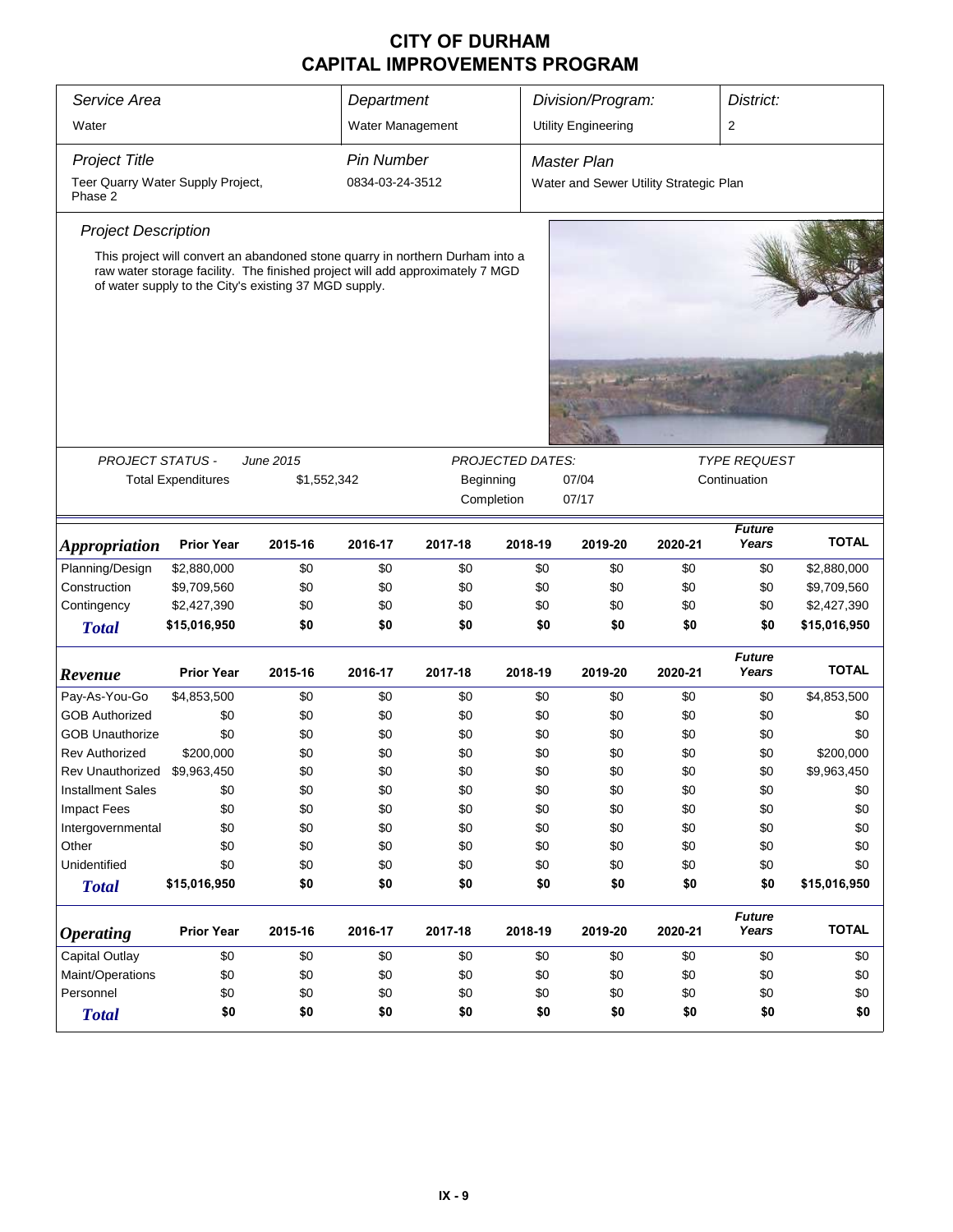| Service Area                                 |                           |                                                                                                                                                                                                                         | Department                                                     |                         |         | Division/Program:                      |         | District:               |              |  |
|----------------------------------------------|---------------------------|-------------------------------------------------------------------------------------------------------------------------------------------------------------------------------------------------------------------------|----------------------------------------------------------------|-------------------------|---------|----------------------------------------|---------|-------------------------|--------------|--|
| Water                                        |                           |                                                                                                                                                                                                                         | Water Management                                               |                         |         | <b>Utility Engineering</b>             |         | $\overline{\mathbf{c}}$ |              |  |
| <b>Project Title</b>                         |                           |                                                                                                                                                                                                                         | <b>Pin Number</b>                                              |                         |         | Master Plan                            |         |                         |              |  |
| Teer Quarry Water Supply Project,<br>Phase 2 |                           |                                                                                                                                                                                                                         | 0834-03-24-3512                                                |                         |         | Water and Sewer Utility Strategic Plan |         |                         |              |  |
| <b>Project Description</b>                   |                           |                                                                                                                                                                                                                         |                                                                |                         |         |                                        |         |                         |              |  |
|                                              |                           | This project will convert an abandoned stone quarry in northern Durham into a<br>raw water storage facility. The finished project will add approximately 7 MGD<br>of water supply to the City's existing 37 MGD supply. |                                                                |                         |         |                                        |         |                         |              |  |
|                                              |                           |                                                                                                                                                                                                                         |                                                                |                         |         |                                        |         |                         |              |  |
| <b>PROJECT STATUS -</b>                      |                           | <b>June 2015</b>                                                                                                                                                                                                        | <b>PROJECTED DATES:</b><br><b>TYPE REQUEST</b><br>Continuation |                         |         |                                        |         |                         |              |  |
|                                              | <b>Total Expenditures</b> | \$1,552,342                                                                                                                                                                                                             |                                                                | Beginning<br>Completion |         | 07/04<br>07/17                         |         |                         |              |  |
| <i><b>Appropriation</b></i>                  | <b>Prior Year</b>         | 2015-16                                                                                                                                                                                                                 | 2016-17                                                        | 2017-18                 | 2018-19 | 2019-20                                | 2020-21 | <b>Future</b><br>Years  | <b>TOTAL</b> |  |
| Planning/Design                              | \$2,880,000               | \$0                                                                                                                                                                                                                     | \$0                                                            | \$0                     | \$0     | \$0                                    | \$0     | \$0                     | \$2,880,000  |  |
| Construction                                 | \$9,709,560               | \$0                                                                                                                                                                                                                     | \$0                                                            | \$0                     | \$0     | \$0                                    | \$0     | \$0                     | \$9,709,560  |  |
| Contingency                                  | \$2,427,390               | \$0                                                                                                                                                                                                                     | \$0                                                            | \$0                     | \$0     | \$0                                    | \$0     | \$0                     | \$2,427,390  |  |
| <b>Total</b>                                 | \$15,016,950              | \$0                                                                                                                                                                                                                     | \$0                                                            | \$0                     | \$0     | \$0                                    | \$0     | \$0                     | \$15,016,950 |  |
| Revenue                                      | <b>Prior Year</b>         | 2015-16                                                                                                                                                                                                                 | 2016-17                                                        | 2017-18                 | 2018-19 | 2019-20                                | 2020-21 | <b>Future</b><br>Years  | <b>TOTAL</b> |  |
| Pay-As-You-Go                                | \$4,853,500               | \$0                                                                                                                                                                                                                     | \$0                                                            | \$0                     | \$0     | \$0                                    | \$0     | \$0                     | \$4,853,500  |  |
| <b>GOB Authorized</b>                        | \$0                       | \$0                                                                                                                                                                                                                     | \$0                                                            | \$0                     | \$0     | \$0                                    | \$0     | \$0                     | \$0          |  |
| <b>GOB Unauthorize</b>                       | \$0                       | \$0                                                                                                                                                                                                                     | \$0                                                            | \$0                     | \$0     | \$0                                    | \$0     | \$0                     | \$0          |  |
| <b>Rev Authorized</b>                        | \$200,000                 | \$0                                                                                                                                                                                                                     | \$0                                                            | \$0                     | \$0     | \$0                                    | \$0     | \$0                     | \$200,000    |  |
| <b>Rev Unauthorized</b>                      | \$9,963,450               | \$0                                                                                                                                                                                                                     | \$0                                                            | \$0                     | \$0     | \$0                                    | \$0     | \$0                     | \$9,963,450  |  |
| <b>Installment Sales</b>                     | \$0                       | \$0                                                                                                                                                                                                                     | \$0                                                            | \$0                     | \$0     | \$0                                    | $\$0$   | \$0                     | \$0          |  |
| <b>Impact Fees</b>                           | \$0                       | \$0                                                                                                                                                                                                                     | \$0                                                            | \$0                     | \$0     | \$0                                    | \$0     | \$0                     | \$0          |  |
| Intergovernmental                            | \$0                       | \$0                                                                                                                                                                                                                     | \$0                                                            | \$0                     | \$0     | \$0                                    | \$0     | \$0                     | \$0          |  |
| Other                                        | \$0                       | \$0                                                                                                                                                                                                                     | \$0                                                            | \$0                     | \$0     | \$0                                    | \$0     | \$0                     | \$0          |  |
| Unidentified                                 | \$0                       | \$0                                                                                                                                                                                                                     | \$0                                                            | \$0                     | \$0     | \$0                                    | \$0     | \$0                     | \$0          |  |
| <b>Total</b>                                 | \$15,016,950              | \$0                                                                                                                                                                                                                     | \$0                                                            | \$0                     | \$0     | \$0                                    | \$0     | \$0                     | \$15,016,950 |  |
| <b>Operating</b>                             | <b>Prior Year</b>         | 2015-16                                                                                                                                                                                                                 | 2016-17                                                        | 2017-18                 | 2018-19 | 2019-20                                | 2020-21 | <b>Future</b><br>Years  | <b>TOTAL</b> |  |
|                                              |                           |                                                                                                                                                                                                                         |                                                                |                         |         |                                        |         |                         |              |  |
| <b>Capital Outlay</b>                        | \$0                       | \$0                                                                                                                                                                                                                     | \$0                                                            | \$0                     | \$0     | \$0                                    | \$0     | \$0                     | \$0          |  |
| Maint/Operations                             | \$0                       | \$0                                                                                                                                                                                                                     | \$0                                                            | \$0                     | \$0     | \$0                                    | \$0     | \$0                     | \$0          |  |
| Personnel                                    | \$0                       | \$0                                                                                                                                                                                                                     | \$0                                                            | \$0                     | \$0     | \$0                                    | \$0     | \$0                     | \$0          |  |
| <b>Total</b>                                 | \$0                       | \$0                                                                                                                                                                                                                     | \$0                                                            | \$0                     | \$0     | \$0                                    | \$0     | \$0                     | \$0          |  |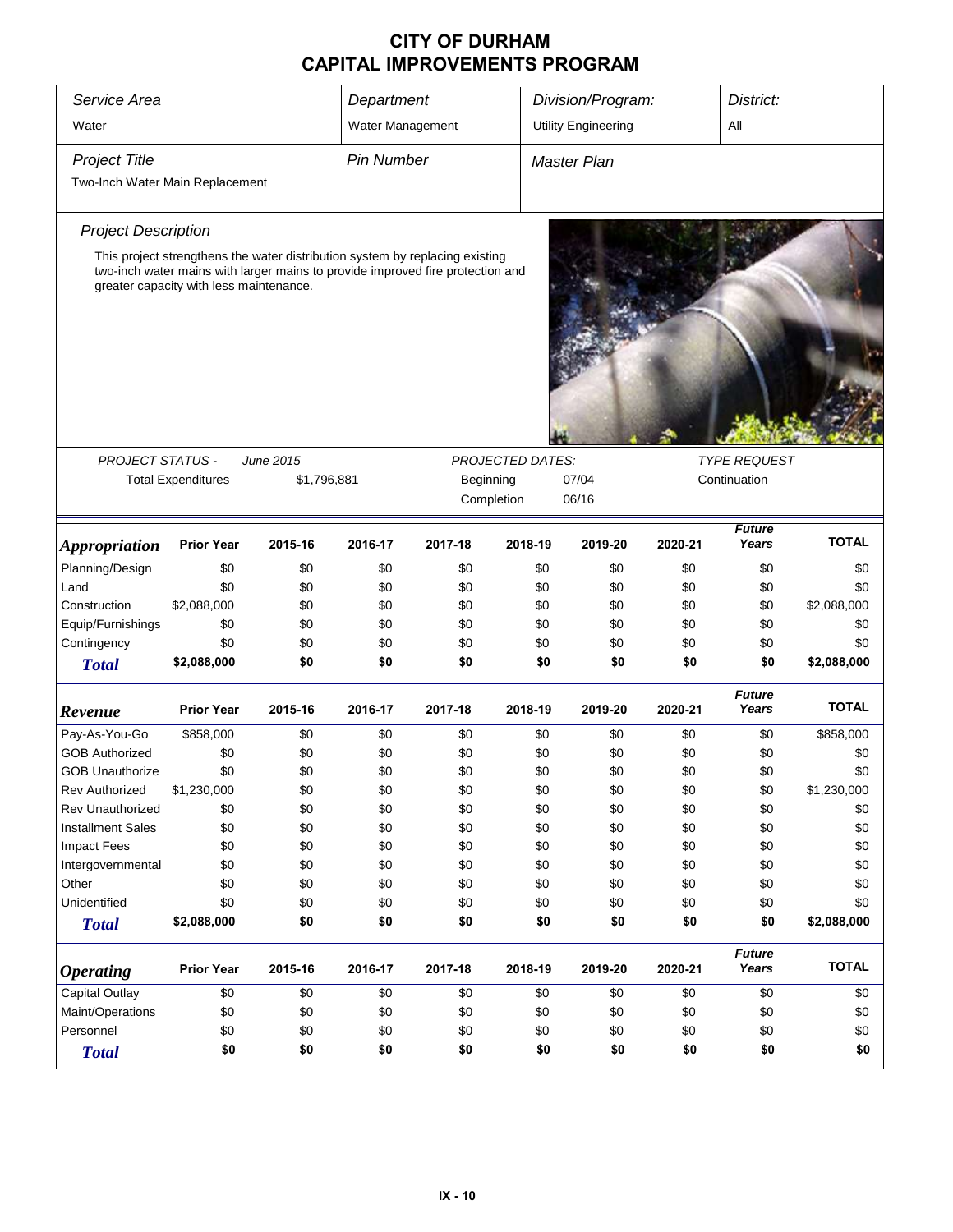| Service Area                    |                                                                                                                           |             |                   | Department         |                         | Division/Program:          | District: |                        |              |
|---------------------------------|---------------------------------------------------------------------------------------------------------------------------|-------------|-------------------|--------------------|-------------------------|----------------------------|-----------|------------------------|--------------|
| Water                           |                                                                                                                           |             | Water Management  |                    |                         | <b>Utility Engineering</b> |           | All                    |              |
| <b>Project Title</b>            |                                                                                                                           |             | <b>Pin Number</b> |                    |                         | Master Plan                |           |                        |              |
| Two-Inch Water Main Replacement |                                                                                                                           |             |                   |                    |                         |                            |           |                        |              |
|                                 |                                                                                                                           |             |                   |                    |                         |                            |           |                        |              |
| <b>Project Description</b>      |                                                                                                                           |             |                   |                    |                         |                            |           |                        |              |
|                                 | This project strengthens the water distribution system by replacing existing                                              |             |                   |                    |                         |                            |           |                        |              |
|                                 | two-inch water mains with larger mains to provide improved fire protection and<br>greater capacity with less maintenance. |             |                   |                    |                         |                            |           |                        |              |
|                                 |                                                                                                                           |             |                   |                    |                         |                            |           |                        |              |
|                                 |                                                                                                                           |             |                   |                    |                         |                            |           |                        |              |
| <b>PROJECT STATUS -</b>         |                                                                                                                           | June 2015   |                   |                    | <b>PROJECTED DATES:</b> | <b>TYPE REQUEST</b>        |           |                        |              |
|                                 | <b>Total Expenditures</b>                                                                                                 | \$1,796,881 |                   | 07/04<br>Beginning |                         |                            |           | Continuation           |              |
|                                 |                                                                                                                           |             |                   |                    | Completion              | 06/16                      |           |                        |              |
| <b>Appropriation</b>            | <b>Prior Year</b>                                                                                                         | 2015-16     | 2016-17           | 2017-18            | 2018-19                 | 2019-20                    | 2020-21   | <b>Future</b><br>Years | <b>TOTAL</b> |
| Planning/Design                 | \$0                                                                                                                       | \$0         | \$0               | \$0                | \$0                     | \$0                        | \$0       | \$0                    | \$0          |
| Land                            | \$0                                                                                                                       | \$0         | \$0               | \$0                | \$0                     | \$0                        | \$0       | \$0                    | \$0          |
| Construction                    | \$2,088,000                                                                                                               | \$0         | \$0               | \$0                | \$0                     | \$0                        | \$0       | \$0                    | \$2,088,000  |
| Equip/Furnishings               | \$0                                                                                                                       | \$0         | \$0               | \$0                | \$0                     | \$0                        | \$0       | \$0                    | \$0          |
| Contingency                     | \$0                                                                                                                       | \$0         | \$0               | \$0                | \$0                     | \$0                        | \$0       | \$0                    | \$0          |
| <b>Total</b>                    | \$2,088,000                                                                                                               | \$0         | \$0               | \$0                | \$0                     | \$0                        | \$0       | \$0                    | \$2,088,000  |
| Revenue                         | <b>Prior Year</b>                                                                                                         | 2015-16     | 2016-17           | 2017-18            | 2018-19                 | 2019-20                    | 2020-21   | <b>Future</b><br>Years | <b>TOTAL</b> |
| Pay-As-You-Go                   | \$858,000                                                                                                                 | \$0         | \$0               | \$0                | \$0                     | \$0                        | \$0       | \$0                    | \$858,000    |
| <b>GOB Authorized</b>           | \$0                                                                                                                       | \$0         | \$0               | \$0                | \$0                     | \$0                        | \$0       | \$0                    | \$0          |
| <b>GOB Unauthorize</b>          | \$0                                                                                                                       | \$0         | \$0               | \$0                | \$0                     | \$0                        | \$0       | \$0                    | \$0          |
| <b>Rev Authorized</b>           | \$1,230,000                                                                                                               | \$0         | \$0               | \$0                | \$0                     | \$0                        | \$0       | \$0                    | \$1,230,000  |
| Rev Unauthorized                | \$0                                                                                                                       | \$0         | \$0               | \$0                | \$0                     | \$0                        | \$0       | \$0                    | \$0          |
| <b>Installment Sales</b>        | \$0                                                                                                                       | \$0         | \$0               | \$0                | \$0                     | \$0                        | \$0       | \$0                    | \$0          |
| <b>Impact Fees</b>              | \$0                                                                                                                       | \$0         | \$0               | \$0                | \$0                     | \$0                        | \$0       | \$0                    | \$0          |
| Intergovernmental               | \$0                                                                                                                       | \$0         | \$0               | \$0                | \$0                     | \$0                        | \$0       | \$0                    | \$0          |
| Other                           | \$0                                                                                                                       | \$0         | \$0               | \$0                | \$0                     | \$0                        | \$0       | \$0                    | \$0          |
| Unidentified                    | \$0                                                                                                                       | \$0         | \$0               | \$0                | \$0                     | \$0                        | \$0       | \$0                    | \$0          |
| <b>Total</b>                    | \$2,088,000                                                                                                               | \$0         | \$0               | \$0                | \$0                     | \$0                        | \$0       | \$0                    | \$2,088,000  |
|                                 |                                                                                                                           |             |                   |                    |                         |                            |           | <b>Future</b>          |              |
| <b>Operating</b>                | <b>Prior Year</b>                                                                                                         | 2015-16     | 2016-17           | 2017-18            | 2018-19                 | 2019-20                    | 2020-21   | Years                  | <b>TOTAL</b> |
| <b>Capital Outlay</b>           | \$0                                                                                                                       | \$0         | \$0               | \$0                | \$0                     | \$0                        | \$0       | \$0                    | \$0          |
| Maint/Operations                | \$0                                                                                                                       | \$0         | \$0               | \$0                | \$0                     | \$0                        | \$0       | \$0                    | \$0          |
| Personnel                       | \$0                                                                                                                       | \$0         | \$0               | \$0                | \$0                     | \$0                        | \$0       | \$0                    | \$0          |
| <b>Total</b>                    | \$0                                                                                                                       | \$0         | \$0               | \$0                | \$0                     | \$0                        | \$0       | \$0                    | \$0          |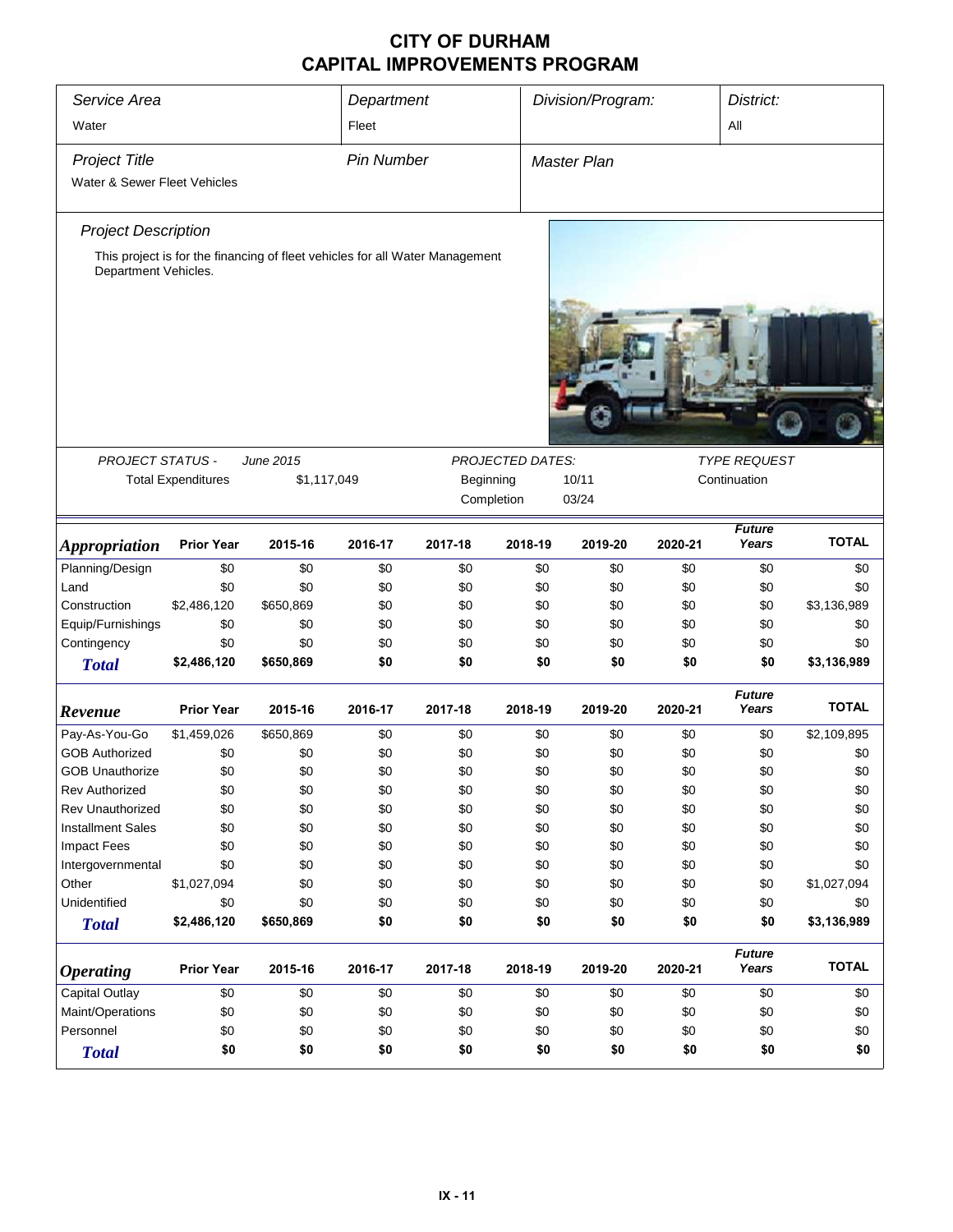| Service Area                                                                                         | Department        |                   |           | Division/Program:       |                    | District: |                        |              |
|------------------------------------------------------------------------------------------------------|-------------------|-------------------|-----------|-------------------------|--------------------|-----------|------------------------|--------------|
| Water                                                                                                |                   | Fleet             |           |                         |                    |           | All                    |              |
| <b>Project Title</b>                                                                                 |                   | <b>Pin Number</b> |           |                         | <b>Master Plan</b> |           |                        |              |
| Water & Sewer Fleet Vehicles                                                                         |                   |                   |           |                         |                    |           |                        |              |
|                                                                                                      |                   |                   |           |                         |                    |           |                        |              |
| <b>Project Description</b>                                                                           |                   |                   |           |                         |                    |           |                        |              |
| This project is for the financing of fleet vehicles for all Water Management<br>Department Vehicles. |                   |                   |           |                         |                    |           |                        |              |
|                                                                                                      |                   |                   |           |                         |                    |           |                        |              |
|                                                                                                      |                   |                   |           |                         |                    |           |                        |              |
| <b>PROJECT STATUS -</b>                                                                              | <b>June 2015</b>  |                   |           | <b>PROJECTED DATES:</b> |                    |           | <b>TYPE REQUEST</b>    |              |
| <b>Total Expenditures</b>                                                                            |                   | \$1,117,049       | Beginning |                         | 10/11              |           | Continuation           |              |
|                                                                                                      |                   |                   |           | Completion              | 03/24              |           |                        |              |
| <b>Prior Year</b><br><b>Appropriation</b>                                                            | 2015-16           | 2016-17           | 2017-18   | 2018-19                 | 2019-20            | 2020-21   | <b>Future</b><br>Years | <b>TOTAL</b> |
| Planning/Design                                                                                      | \$0<br>\$0        | \$0               | \$0       | \$0                     | \$0                | \$0       | \$0                    | \$0          |
| Land                                                                                                 | \$0<br>\$0        | \$0               | \$0       | \$0                     | \$0                | \$0       | \$0                    | \$0          |
| \$2,486,120<br>Construction                                                                          | \$650,869         | \$0               | \$0       | \$0                     | \$0                | \$0       | \$0                    | \$3,136,989  |
| Equip/Furnishings                                                                                    | \$0<br>\$0        | \$0               | \$0       | \$0                     | \$0                | \$0       | \$0                    | \$0          |
| Contingency                                                                                          | \$0<br>\$0        | \$0               | \$0       | \$0                     | \$0                | \$0       | \$0                    | \$0          |
| \$2,486,120<br><b>Total</b>                                                                          | \$650,869         | \$0               | \$0       | \$0                     | \$0                | \$0       | \$0                    | \$3,136,989  |
| <b>Prior Year</b><br>Revenue                                                                         | 2015-16           | 2016-17           | 2017-18   | 2018-19                 | 2019-20            | 2020-21   | <b>Future</b><br>Years | <b>TOTAL</b> |
| Pay-As-You-Go<br>\$1,459,026                                                                         | \$650,869         | \$0               | \$0       | \$0                     | \$0                | \$0       | \$0                    | \$2,109,895  |
| <b>GOB Authorized</b>                                                                                | \$0<br>\$0        | \$0               | \$0       | \$0                     | \$0                | \$0       | \$0                    | \$0          |
| <b>GOB Unauthorize</b>                                                                               | \$0<br>\$0        | \$0               | \$0       | \$0                     | \$0                | \$0       | \$0                    | \$0          |
| Rev Authorized                                                                                       | \$0<br>\$0        | \$0               | \$0       | \$0                     | \$0                | \$0       | \$0                    | \$0          |
| <b>Rev Unauthorized</b>                                                                              | \$0<br>\$0        | \$0               | \$0       | \$0                     | \$0                | \$0       | \$0                    | \$0          |
| <b>Installment Sales</b>                                                                             | \$0<br>\$0        | \$0               | \$0       | \$0                     | \$0                | \$0       | \$0                    | \$0          |
| <b>Impact Fees</b>                                                                                   | \$0<br>\$0        | \$0               | \$0       | \$0                     | \$0                | \$0       | \$0                    | \$0          |
| Intergovernmental                                                                                    | \$0<br>\$0        | \$0               | \$0       | \$0                     | \$0                | \$0       | \$0                    | \$0          |
| Other<br>\$1,027,094                                                                                 | \$0               | \$0               | \$0       | \$0                     | \$0                | \$0       | \$0                    | \$1,027,094  |
| Unidentified                                                                                         | \$0<br>\$0        | \$0               | \$0       | \$0                     | \$0                | \$0       | \$0                    | \$0          |
| \$2,486,120<br><b>Total</b>                                                                          | \$650,869         | \$0               | \$0       | \$0                     | \$0                | \$0       | \$0                    | \$3,136,989  |
| <b>Prior Year</b><br><b>Operating</b>                                                                | 2015-16           | 2016-17           | 2017-18   | 2018-19                 | 2019-20            | 2020-21   | <b>Future</b><br>Years | <b>TOTAL</b> |
| <b>Capital Outlay</b>                                                                                | \$0               | \$0               | \$0       | \$0                     | \$0                | \$0       | \$0                    | \$0          |
| Maint/Operations                                                                                     | \$0<br>\$0<br>\$0 | \$0               | \$0       | \$0                     | \$0                | \$0       | \$0                    |              |
| Personnel                                                                                            | \$0<br>\$0        | \$0               | \$0       | \$0                     | \$0                | \$0       | \$0                    | \$0<br>\$0   |
| <b>Total</b>                                                                                         | \$0<br>\$0        | \$0               | \$0       | \$0                     | \$0                | \$0       | \$0                    | \$0          |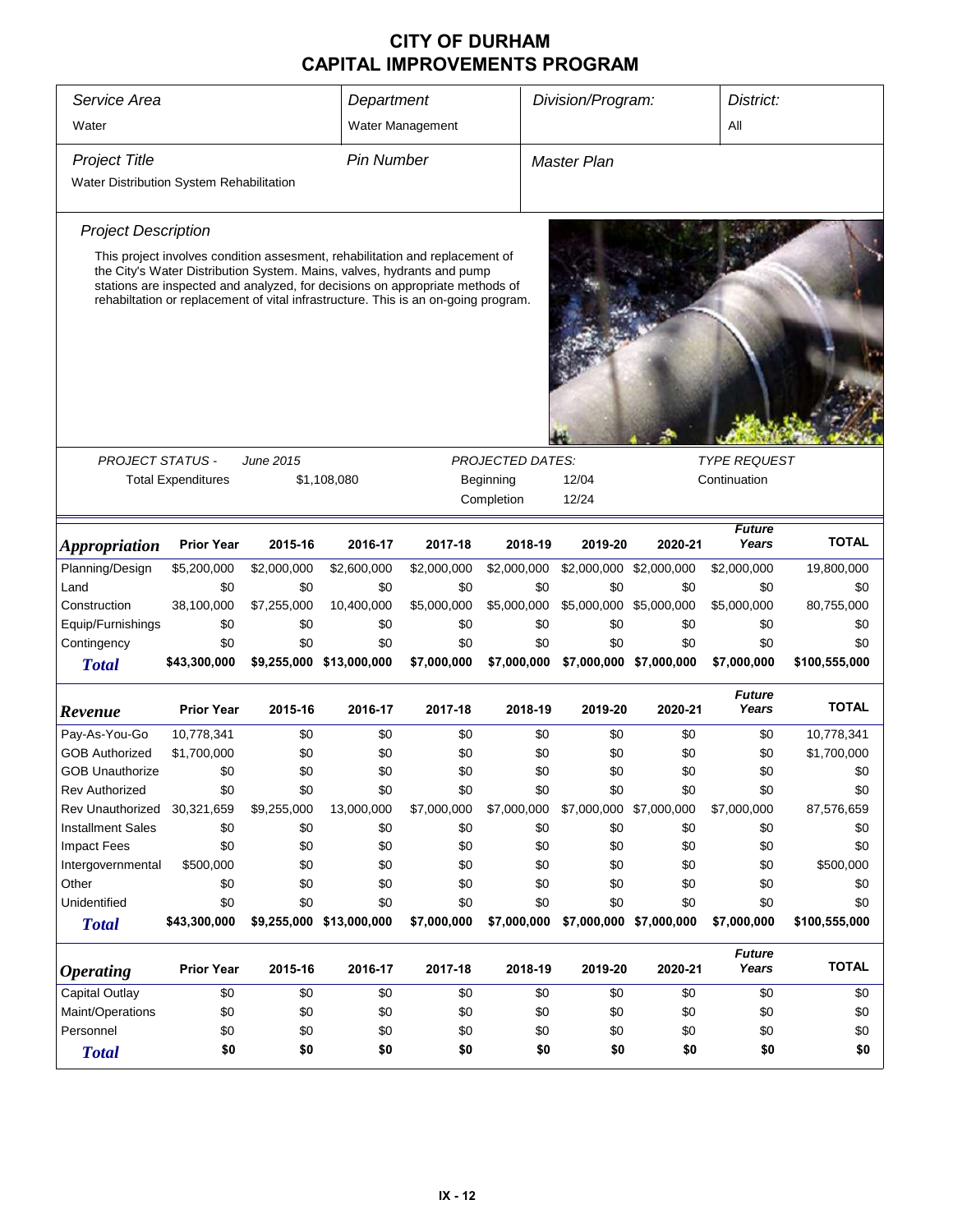| Service Area                             | Department                                                                   |                  |                                                                                                                                                                                                                                              | Division/Program:<br>District: |                         |                         |                         |                        |                      |  |
|------------------------------------------|------------------------------------------------------------------------------|------------------|----------------------------------------------------------------------------------------------------------------------------------------------------------------------------------------------------------------------------------------------|--------------------------------|-------------------------|-------------------------|-------------------------|------------------------|----------------------|--|
| Water                                    |                                                                              | Water Management |                                                                                                                                                                                                                                              |                                |                         |                         |                         |                        |                      |  |
| <b>Project Title</b>                     |                                                                              |                  | <b>Pin Number</b>                                                                                                                                                                                                                            |                                |                         | Master Plan             |                         |                        |                      |  |
| Water Distribution System Rehabilitation |                                                                              |                  |                                                                                                                                                                                                                                              |                                |                         |                         |                         |                        |                      |  |
| <b>Project Description</b>               |                                                                              |                  |                                                                                                                                                                                                                                              |                                |                         |                         |                         |                        |                      |  |
|                                          | This project involves condition assesment, rehabilitation and replacement of |                  |                                                                                                                                                                                                                                              |                                |                         |                         |                         |                        |                      |  |
|                                          |                                                                              |                  | the City's Water Distribution System. Mains, valves, hydrants and pump<br>stations are inspected and analyzed, for decisions on appropriate methods of<br>rehabiltation or replacement of vital infrastructure. This is an on-going program. |                                |                         |                         |                         |                        |                      |  |
| <b>PROJECT STATUS -</b>                  |                                                                              | <b>June 2015</b> |                                                                                                                                                                                                                                              |                                | <b>PROJECTED DATES:</b> |                         |                         | <b>TYPE REQUEST</b>    |                      |  |
|                                          | <b>Total Expenditures</b>                                                    |                  | \$1,108,080                                                                                                                                                                                                                                  |                                | Beginning               | 12/04                   |                         | Continuation           |                      |  |
|                                          |                                                                              |                  |                                                                                                                                                                                                                                              |                                | Completion              | 12/24                   |                         |                        |                      |  |
|                                          |                                                                              |                  |                                                                                                                                                                                                                                              |                                |                         |                         |                         |                        |                      |  |
| <i><b>Appropriation</b></i>              | <b>Prior Year</b>                                                            | 2015-16          | 2016-17                                                                                                                                                                                                                                      | 2017-18                        | 2018-19                 | 2019-20                 | 2020-21                 | <b>Future</b><br>Years | <b>TOTAL</b>         |  |
| Planning/Design                          | \$5,200,000                                                                  | \$2,000,000      | \$2,600,000                                                                                                                                                                                                                                  | \$2,000,000                    | \$2,000,000             | \$2,000,000             | \$2,000,000             | \$2,000,000            | 19,800,000           |  |
| Land                                     | \$0                                                                          | \$0              | \$0                                                                                                                                                                                                                                          | \$0                            | \$0                     | \$0                     | \$0                     | \$0                    | \$0                  |  |
| Construction                             | 38,100,000                                                                   | \$7,255,000      | 10,400,000                                                                                                                                                                                                                                   | \$5,000,000                    | \$5,000,000             |                         | \$5,000,000 \$5,000,000 | \$5,000,000            | 80,755,000           |  |
| Equip/Furnishings                        | \$0                                                                          | \$0              | \$0                                                                                                                                                                                                                                          | \$0                            | \$0                     | \$0                     | \$0                     | \$0                    | \$0                  |  |
| Contingency                              | \$0                                                                          | \$0              | \$0                                                                                                                                                                                                                                          | \$0                            | \$0                     | \$0                     | \$0                     | \$0                    | \$0                  |  |
| <b>Total</b>                             | \$43,300,000                                                                 |                  | \$9,255,000 \$13,000,000                                                                                                                                                                                                                     | \$7,000,000                    | \$7,000,000             |                         | \$7,000,000 \$7,000,000 | \$7,000,000            | \$100,555,000        |  |
|                                          | <b>Prior Year</b>                                                            | 2015-16          | 2016-17                                                                                                                                                                                                                                      | 2017-18                        | 2018-19                 | 2019-20                 | 2020-21                 | <b>Future</b><br>Years | <b>TOTAL</b>         |  |
| Revenue                                  |                                                                              |                  |                                                                                                                                                                                                                                              |                                |                         |                         |                         |                        |                      |  |
| Pay-As-You-Go                            | 10,778,341                                                                   | \$0              | \$0                                                                                                                                                                                                                                          | \$0                            | \$0                     | \$0                     | \$0                     | \$0                    | 10,778,341           |  |
| <b>GOB Authorized</b>                    | \$1,700,000                                                                  | \$0              | \$0                                                                                                                                                                                                                                          | \$0                            | \$0                     | \$0                     | \$0                     | \$0                    | \$1,700,000          |  |
| <b>GOB Unauthorize</b>                   | \$0                                                                          | \$0              | \$0                                                                                                                                                                                                                                          | \$0                            | \$0                     | \$0                     | \$0                     | \$0                    | \$0                  |  |
| <b>Rev Authorized</b>                    | \$0                                                                          | \$0              | \$0                                                                                                                                                                                                                                          | \$0                            | \$0                     | \$0                     | \$0                     | \$0                    | \$0                  |  |
| Rev Unauthorized                         | 30,321,659                                                                   | \$9,255,000      | 13,000,000                                                                                                                                                                                                                                   | \$7,000,000                    | \$7,000,000             | \$7,000,000 \$7,000,000 |                         | \$7,000,000            | 87,576,659           |  |
| <b>Installment Sales</b>                 | \$0                                                                          | \$0              | \$0                                                                                                                                                                                                                                          | \$0                            | \$0                     | \$0                     | \$0                     | \$0                    | \$0                  |  |
| <b>Impact Fees</b>                       | \$0                                                                          | \$0              | \$0                                                                                                                                                                                                                                          | \$0                            | \$0                     | \$0                     | \$0                     | \$0                    | \$0                  |  |
| Intergovernmental                        | \$500,000                                                                    | \$0              | \$0                                                                                                                                                                                                                                          | \$0                            | \$0                     | \$0                     | \$0                     | \$0                    | \$500,000            |  |
| Other<br>Unidentified                    | \$0<br>\$0                                                                   | \$0<br>\$0       | \$0<br>\$0                                                                                                                                                                                                                                   | \$0<br>\$0                     | \$0<br>\$0              | \$0<br>\$0              | \$0<br>\$0              | \$0<br>\$0             | \$0                  |  |
|                                          | \$43,300,000                                                                 |                  | \$9,255,000 \$13,000,000                                                                                                                                                                                                                     | \$7,000,000                    | \$7,000,000             |                         | \$7,000,000 \$7,000,000 | \$7,000,000            | \$0<br>\$100,555,000 |  |
| <b>Total</b>                             |                                                                              |                  |                                                                                                                                                                                                                                              |                                |                         |                         |                         |                        |                      |  |
| <i><b>Operating</b></i>                  | <b>Prior Year</b>                                                            | 2015-16          | 2016-17                                                                                                                                                                                                                                      | 2017-18                        | 2018-19                 | 2019-20                 | 2020-21                 | <b>Future</b><br>Years | <b>TOTAL</b>         |  |
| <b>Capital Outlay</b>                    | \$0                                                                          | \$0              | \$0                                                                                                                                                                                                                                          | \$0                            | \$0                     | \$0                     | \$0                     | \$0                    | \$0                  |  |
| Maint/Operations                         | \$0                                                                          | \$0              | \$0                                                                                                                                                                                                                                          | \$0                            | \$0                     | \$0                     | \$0                     | \$0                    | \$0                  |  |
| Personnel                                | \$0                                                                          | \$0              | \$0                                                                                                                                                                                                                                          | \$0                            | \$0                     | \$0                     | \$0                     | \$0                    | \$0                  |  |
| <b>Total</b>                             | \$0                                                                          | \$0              | \$0                                                                                                                                                                                                                                          | \$0                            | \$0                     | \$0                     | \$0                     | \$0                    | \$0                  |  |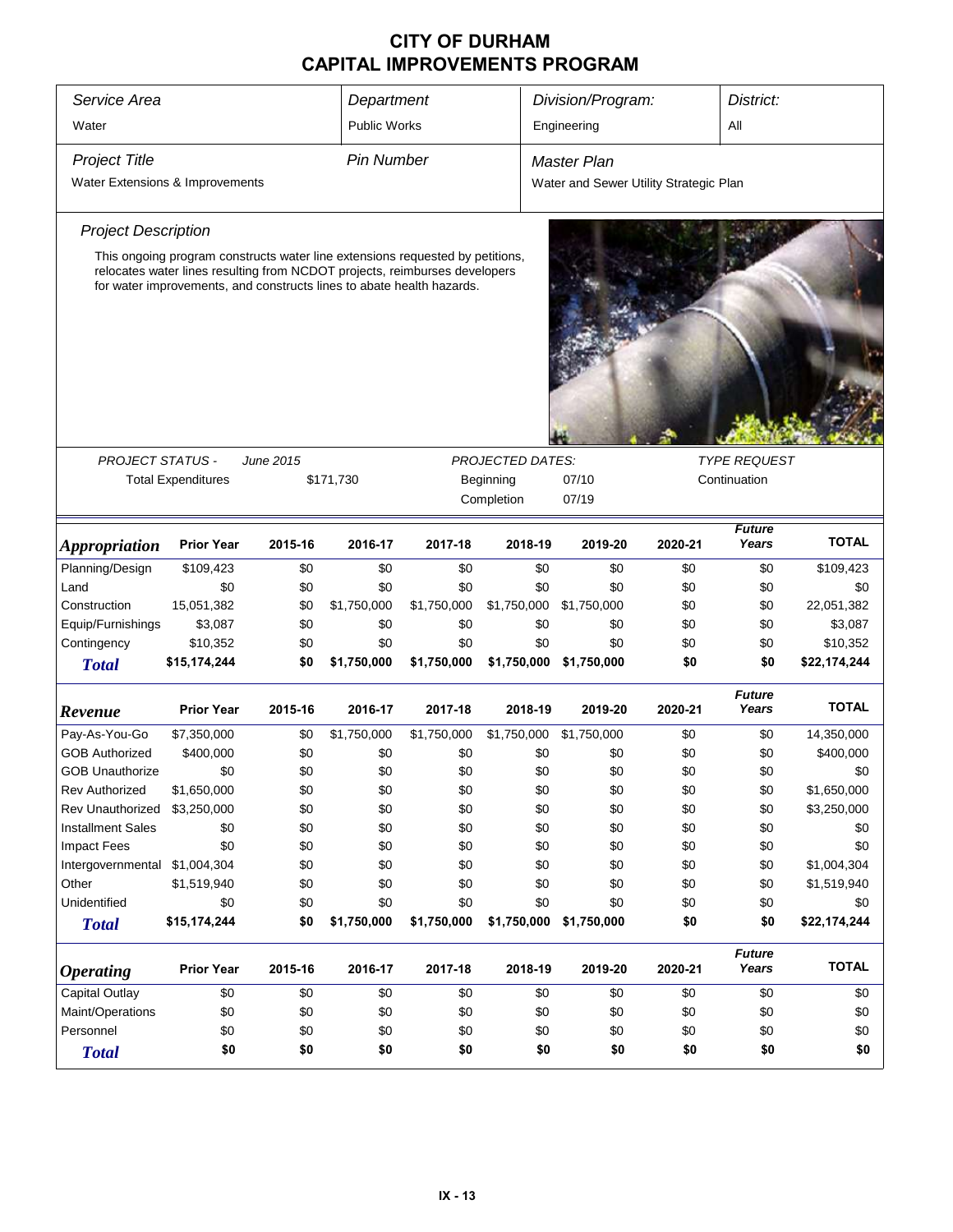| Service Area                    | Department                                                                                                                                          |           |             | Division/Program:<br>District: |                         |                                        |         |                        |              |  |  |
|---------------------------------|-----------------------------------------------------------------------------------------------------------------------------------------------------|-----------|-------------|--------------------------------|-------------------------|----------------------------------------|---------|------------------------|--------------|--|--|
| Water                           | <b>Public Works</b>                                                                                                                                 |           |             | All<br>Engineering             |                         |                                        |         |                        |              |  |  |
| <b>Project Title</b>            | <b>Pin Number</b>                                                                                                                                   |           |             | <b>Master Plan</b>             |                         |                                        |         |                        |              |  |  |
| Water Extensions & Improvements |                                                                                                                                                     |           |             |                                |                         | Water and Sewer Utility Strategic Plan |         |                        |              |  |  |
| <b>Project Description</b>      |                                                                                                                                                     |           |             |                                |                         |                                        |         |                        |              |  |  |
|                                 | This ongoing program constructs water line extensions requested by petitions,                                                                       |           |             |                                |                         |                                        |         |                        |              |  |  |
|                                 | relocates water lines resulting from NCDOT projects, reimburses developers<br>for water improvements, and constructs lines to abate health hazards. |           |             |                                |                         |                                        |         |                        |              |  |  |
|                                 |                                                                                                                                                     |           |             |                                |                         |                                        |         |                        |              |  |  |
| <b>PROJECT STATUS -</b>         |                                                                                                                                                     | June 2015 |             |                                | <b>PROJECTED DATES:</b> |                                        |         | <b>TYPE REQUEST</b>    |              |  |  |
|                                 | <b>Total Expenditures</b>                                                                                                                           |           | \$171,730   |                                | Beginning               | 07/10                                  |         | Continuation           |              |  |  |
|                                 |                                                                                                                                                     |           |             |                                | Completion              | 07/19                                  |         |                        |              |  |  |
| <b>Appropriation</b>            | <b>Prior Year</b>                                                                                                                                   | 2015-16   | 2016-17     | 2017-18                        | 2018-19                 | 2019-20                                | 2020-21 | <b>Future</b><br>Years | <b>TOTAL</b> |  |  |
| Planning/Design                 | \$109,423                                                                                                                                           | \$0       | \$0         | \$0                            | \$0                     | \$0                                    | \$0     | \$0                    | \$109,423    |  |  |
| Land                            | \$0                                                                                                                                                 | \$0       | \$0         | \$0                            | \$0                     | \$0                                    | \$0     | \$0                    | \$0          |  |  |
| Construction                    | 15,051,382                                                                                                                                          | \$0       | \$1,750,000 | \$1,750,000                    | \$1,750,000             | \$1,750,000                            | \$0     | \$0                    | 22,051,382   |  |  |
| Equip/Furnishings               | \$3,087                                                                                                                                             | \$0       | \$0         | \$0                            | \$0                     | \$0                                    | \$0     | \$0                    | \$3,087      |  |  |
| Contingency                     | \$10,352                                                                                                                                            | \$0       | \$0         | \$0                            | \$0                     | \$0                                    | \$0     | \$0                    | \$10,352     |  |  |
| <b>Total</b>                    | \$15,174,244                                                                                                                                        | \$0       | \$1,750,000 | \$1,750,000                    | \$1,750,000             | \$1,750,000                            | \$0     | \$0                    | \$22,174,244 |  |  |
| Revenue                         | <b>Prior Year</b>                                                                                                                                   | 2015-16   | 2016-17     | 2017-18                        | 2018-19                 | 2019-20                                | 2020-21 | <b>Future</b><br>Years | <b>TOTAL</b> |  |  |
| Pay-As-You-Go                   | \$7,350,000                                                                                                                                         | \$0       | \$1,750,000 | \$1,750,000                    | \$1,750,000             | \$1,750,000                            | \$0     | \$0                    | 14,350,000   |  |  |
| <b>GOB Authorized</b>           | \$400,000                                                                                                                                           | \$0       | \$0         | \$0                            | \$0                     | \$0                                    | \$0     | \$0                    | \$400,000    |  |  |
| <b>GOB Unauthorize</b>          | \$0                                                                                                                                                 | \$0       | \$0         | \$0                            | \$0                     | \$0                                    | \$0     | \$0                    | \$0          |  |  |
| Rev Authorized                  | \$1,650,000                                                                                                                                         | \$0       | \$0         | \$0                            | \$0                     | \$0                                    | \$0     | \$0                    | \$1,650,000  |  |  |
| Rev Unauthorized                | \$3,250,000                                                                                                                                         | \$0       | \$0         | \$0                            | \$0                     | \$0                                    | \$0     | \$0                    | \$3,250,000  |  |  |
| <b>Installment Sales</b>        | \$0                                                                                                                                                 | \$0       | \$0         | \$0                            | \$0                     | \$0                                    | \$0     | \$0                    | \$0          |  |  |
| <b>Impact Fees</b>              | \$0                                                                                                                                                 | \$0       | \$0         | \$0                            | \$0                     | \$0                                    | \$0     | \$0                    | \$0          |  |  |
| Intergovernmental \$1,004,304   |                                                                                                                                                     | \$0       | \$0         | \$0                            | \$0                     | \$0                                    | \$0     | \$0                    | \$1,004,304  |  |  |
| Other                           | \$1,519,940                                                                                                                                         | \$0       | \$0         | \$0                            | \$0                     | \$0                                    | \$0     | \$0                    | \$1,519,940  |  |  |
| Unidentified                    | \$0                                                                                                                                                 | \$0       | \$0         | \$0                            | \$0                     | \$0                                    | \$0     | \$0                    | \$0          |  |  |
| <b>Total</b>                    | \$15,174,244                                                                                                                                        | \$0       | \$1,750,000 | \$1,750,000                    | \$1,750,000             | \$1,750,000                            | \$0     | \$0                    | \$22,174,244 |  |  |
| <b>Operating</b>                | <b>Prior Year</b>                                                                                                                                   | 2015-16   | 2016-17     | 2017-18                        | 2018-19                 | 2019-20                                | 2020-21 | <b>Future</b><br>Years | <b>TOTAL</b> |  |  |
| <b>Capital Outlay</b>           | \$0                                                                                                                                                 | \$0       | \$0         | \$0                            | \$0                     | \$0                                    | \$0     | \$0                    | \$0          |  |  |
| Maint/Operations                | \$0                                                                                                                                                 | \$0       | \$0         | \$0                            | \$0                     | \$0                                    | \$0     | \$0                    | \$0          |  |  |
| Personnel                       | \$0                                                                                                                                                 | \$0       | \$0         | \$0                            | \$0                     | \$0                                    | \$0     | \$0                    | \$0          |  |  |
| <b>Total</b>                    | \$0                                                                                                                                                 | \$0       | \$0         | \$0                            | \$0                     | \$0                                    | \$0     | \$0                    | \$0          |  |  |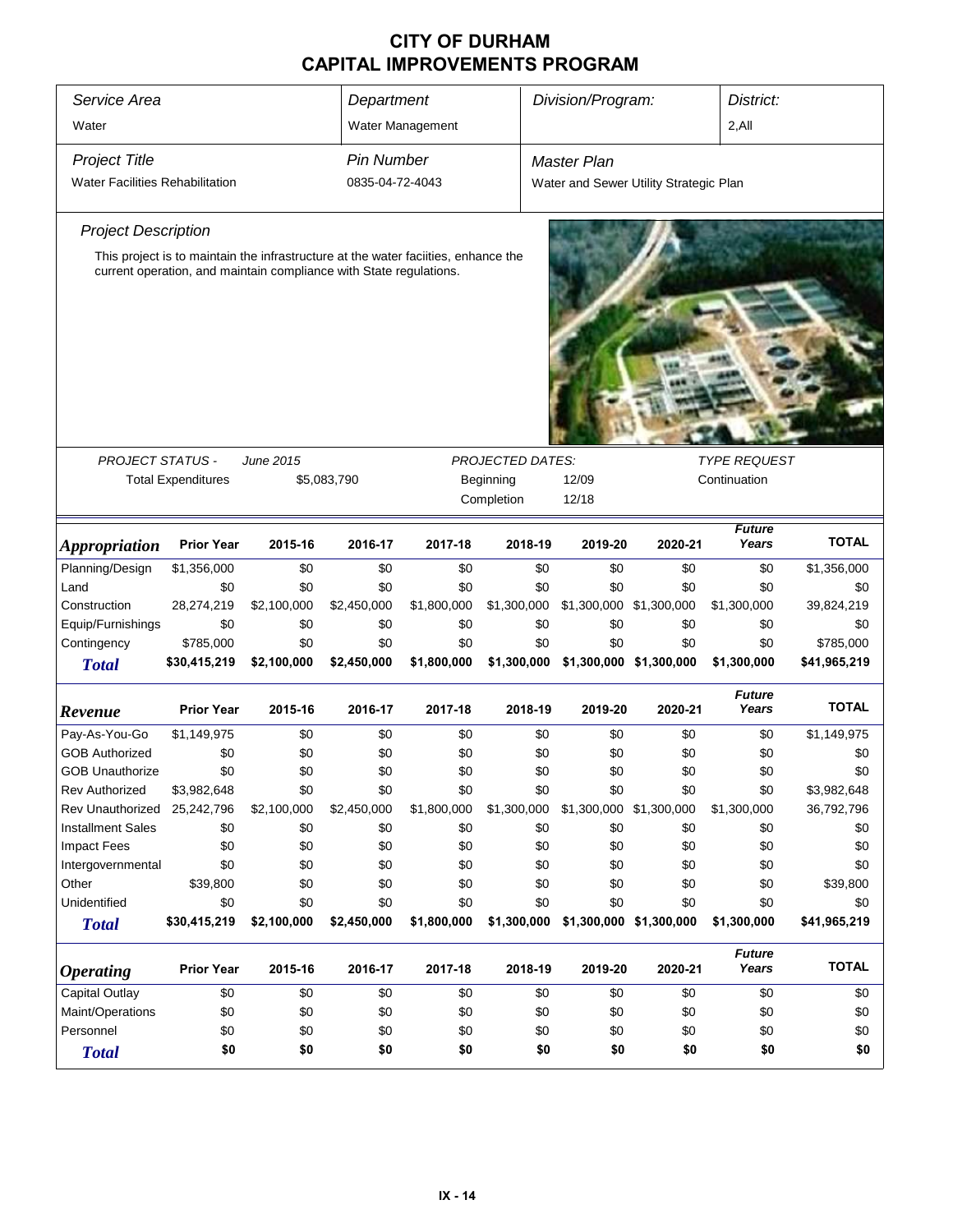| Service Area                           | Department                               |                                                                                                                                                           |                 | Division/Program:<br>District: |                         |                                        |         |                                     |              |  |  |
|----------------------------------------|------------------------------------------|-----------------------------------------------------------------------------------------------------------------------------------------------------------|-----------------|--------------------------------|-------------------------|----------------------------------------|---------|-------------------------------------|--------------|--|--|
| Water                                  |                                          | Water Management                                                                                                                                          |                 | $2,$ All                       |                         |                                        |         |                                     |              |  |  |
| <b>Project Title</b>                   | <b>Pin Number</b>                        |                                                                                                                                                           |                 | <b>Master Plan</b>             |                         |                                        |         |                                     |              |  |  |
| <b>Water Facilities Rehabilitation</b> |                                          |                                                                                                                                                           | 0835-04-72-4043 |                                |                         | Water and Sewer Utility Strategic Plan |         |                                     |              |  |  |
| <b>Project Description</b>             |                                          |                                                                                                                                                           |                 |                                |                         |                                        |         |                                     |              |  |  |
|                                        |                                          | This project is to maintain the infrastructure at the water facilities, enhance the<br>current operation, and maintain compliance with State regulations. |                 |                                |                         |                                        |         |                                     |              |  |  |
|                                        |                                          |                                                                                                                                                           |                 |                                |                         |                                        |         |                                     |              |  |  |
| <b>PROJECT STATUS -</b>                |                                          | June 2015                                                                                                                                                 |                 |                                | <b>PROJECTED DATES:</b> |                                        |         | <b>TYPE REQUEST</b><br>Continuation |              |  |  |
|                                        | <b>Total Expenditures</b><br>\$5,083,790 |                                                                                                                                                           |                 |                                | Beginning<br>Completion | 12/09<br>12/18                         |         |                                     |              |  |  |
|                                        |                                          |                                                                                                                                                           |                 |                                |                         |                                        |         | <b>Future</b>                       |              |  |  |
| <b>Appropriation</b>                   | <b>Prior Year</b>                        | 2015-16                                                                                                                                                   | 2016-17         | 2017-18                        | 2018-19                 | 2019-20                                | 2020-21 | Years                               | <b>TOTAL</b> |  |  |
| Planning/Design                        | \$1,356,000                              | \$0                                                                                                                                                       | \$0             | \$0                            | \$0                     | \$0                                    | \$0     | \$0                                 | \$1,356,000  |  |  |
| Land                                   | \$0                                      | \$0                                                                                                                                                       | \$0             | \$0                            | \$0                     | \$0                                    | \$0     | \$0                                 | \$0          |  |  |
| Construction                           | 28,274,219                               | \$2,100,000                                                                                                                                               | \$2,450,000     | \$1,800,000                    | \$1,300,000             | \$1,300,000 \$1,300,000                |         | \$1,300,000                         | 39,824,219   |  |  |
| Equip/Furnishings                      | \$0                                      | \$0                                                                                                                                                       | \$0             | \$0                            | \$0                     | \$0                                    | \$0     | \$0                                 | \$0          |  |  |
| Contingency                            | \$785,000                                | \$0                                                                                                                                                       | \$0             | \$0                            | \$0                     | \$0                                    | \$0     | \$0                                 | \$785,000    |  |  |
| <b>Total</b>                           | \$30,415,219                             | \$2,100,000                                                                                                                                               | \$2,450,000     | \$1,800,000                    | \$1,300,000             | \$1,300,000 \$1,300,000                |         | \$1,300,000                         | \$41,965,219 |  |  |
| Revenue                                | <b>Prior Year</b>                        | 2015-16                                                                                                                                                   | 2016-17         | 2017-18                        | 2018-19                 | 2019-20                                | 2020-21 | <b>Future</b><br>Years              | <b>TOTAL</b> |  |  |
| Pay-As-You-Go                          | \$1,149,975                              | \$0                                                                                                                                                       | \$0             | \$0                            | \$0                     | \$0                                    | \$0     | \$0                                 | \$1,149,975  |  |  |
| <b>GOB Authorized</b>                  | \$0                                      | \$0                                                                                                                                                       | \$0             | \$0                            | \$0                     | \$0                                    | \$0     | \$0                                 | \$0          |  |  |
| <b>GOB Unauthorize</b>                 | \$0                                      | \$0                                                                                                                                                       | \$0             | \$0                            | \$0                     | \$0                                    | \$0     | \$0                                 | \$0          |  |  |
| Rev Authorized                         | \$3,982,648                              | \$0                                                                                                                                                       | \$0             | \$0                            | \$0                     | \$0                                    | \$0     | \$0                                 | \$3,982,648  |  |  |
| Rev Unauthorized                       | 25,242,796                               | \$2,100,000                                                                                                                                               | \$2,450,000     | \$1,800,000                    | \$1,300,000             | \$1,300,000 \$1,300,000                |         | \$1,300,000                         | 36,792,796   |  |  |
| <b>Installment Sales</b>               | \$0                                      | \$0                                                                                                                                                       | \$0             | \$0                            | \$0                     | \$0                                    | \$0     | \$0                                 | \$0          |  |  |
| <b>Impact Fees</b>                     | \$0                                      | \$0                                                                                                                                                       | \$0             | \$0                            | \$0                     | \$0                                    | \$0     | \$0                                 | \$0          |  |  |
| Intergovernmental                      | \$0                                      | \$0                                                                                                                                                       | \$0             | \$0                            | \$0                     | \$0                                    | \$0     | \$0                                 | \$0          |  |  |
| Other                                  | \$39,800                                 | \$0                                                                                                                                                       | \$0             | \$0                            | \$0                     | \$0                                    | \$0     | \$0                                 | \$39,800     |  |  |
| Unidentified                           | \$0                                      | \$0                                                                                                                                                       | \$0             | \$0                            | \$0                     | \$0                                    | \$0     | \$0                                 | \$0          |  |  |
| <b>Total</b>                           | \$30,415,219                             | \$2,100,000                                                                                                                                               | \$2,450,000     | \$1,800,000                    | \$1,300,000             | \$1,300,000 \$1,300,000                |         | \$1,300,000                         | \$41,965,219 |  |  |
| <b>Operating</b>                       | <b>Prior Year</b>                        | 2015-16                                                                                                                                                   | 2016-17         | 2017-18                        | 2018-19                 | 2019-20                                | 2020-21 | <b>Future</b><br>Years              | <b>TOTAL</b> |  |  |
| <b>Capital Outlay</b>                  | \$0                                      | \$0                                                                                                                                                       | \$0             | \$0                            | \$0                     | \$0                                    | \$0     | \$0                                 | \$0          |  |  |
| Maint/Operations                       | \$0                                      | \$0                                                                                                                                                       | \$0             | \$0                            | \$0                     | \$0                                    | \$0     | \$0                                 | \$0          |  |  |
| Personnel                              | \$0                                      | \$0                                                                                                                                                       | \$0             | \$0                            | \$0                     | \$0                                    | \$0     | \$0                                 | \$0          |  |  |
| <b>Total</b>                           | \$0                                      | \$0                                                                                                                                                       | \$0             | \$0                            | \$0                     | \$0                                    | \$0     | \$0                                 | \$0          |  |  |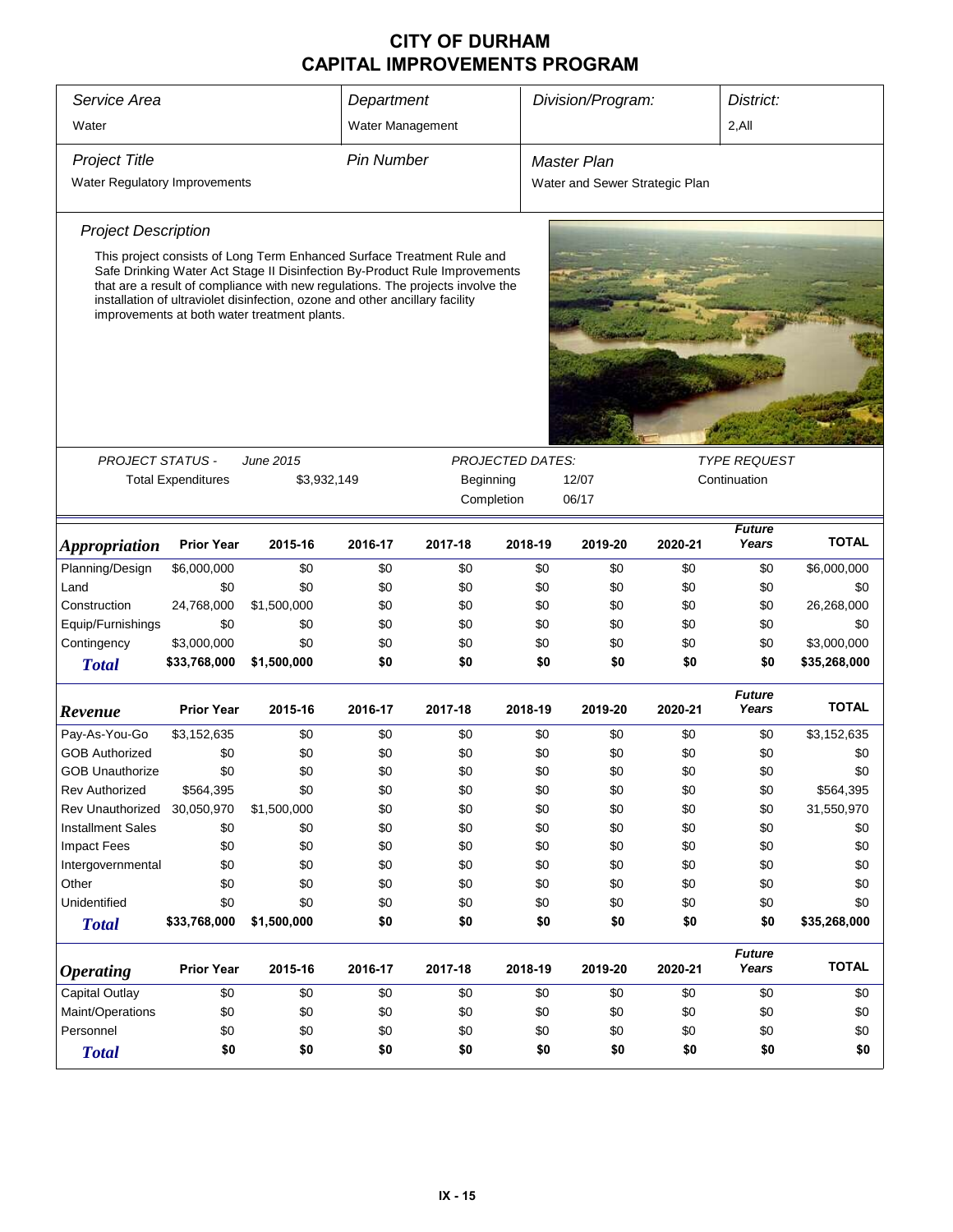| Service Area                  | Department                |                                                                                                                                                                                                                                                                                                                                                                        |         | Division/Program:<br>District: |                         |                                |         |                                     |              |  |  |
|-------------------------------|---------------------------|------------------------------------------------------------------------------------------------------------------------------------------------------------------------------------------------------------------------------------------------------------------------------------------------------------------------------------------------------------------------|---------|--------------------------------|-------------------------|--------------------------------|---------|-------------------------------------|--------------|--|--|
| Water                         | Water Management          |                                                                                                                                                                                                                                                                                                                                                                        |         | $2,$ All                       |                         |                                |         |                                     |              |  |  |
| <b>Project Title</b>          |                           | <b>Pin Number</b>                                                                                                                                                                                                                                                                                                                                                      |         | <b>Master Plan</b>             |                         |                                |         |                                     |              |  |  |
| Water Regulatory Improvements |                           |                                                                                                                                                                                                                                                                                                                                                                        |         |                                |                         | Water and Sewer Strategic Plan |         |                                     |              |  |  |
| <b>Project Description</b>    |                           |                                                                                                                                                                                                                                                                                                                                                                        |         |                                |                         |                                |         |                                     |              |  |  |
|                               |                           | This project consists of Long Term Enhanced Surface Treatment Rule and<br>Safe Drinking Water Act Stage II Disinfection By-Product Rule Improvements<br>that are a result of compliance with new regulations. The projects involve the<br>installation of ultraviolet disinfection, ozone and other ancillary facility<br>improvements at both water treatment plants. |         |                                |                         |                                |         |                                     |              |  |  |
|                               |                           |                                                                                                                                                                                                                                                                                                                                                                        |         |                                |                         |                                |         |                                     |              |  |  |
|                               |                           |                                                                                                                                                                                                                                                                                                                                                                        |         |                                |                         |                                |         |                                     |              |  |  |
| <b>PROJECT STATUS -</b>       | <b>Total Expenditures</b> | June 2015<br>\$3,932,149                                                                                                                                                                                                                                                                                                                                               |         | Beginning                      | <b>PROJECTED DATES:</b> | 12/07                          |         | <b>TYPE REQUEST</b><br>Continuation |              |  |  |
|                               |                           |                                                                                                                                                                                                                                                                                                                                                                        |         |                                | Completion              | 06/17                          |         |                                     |              |  |  |
|                               |                           |                                                                                                                                                                                                                                                                                                                                                                        |         |                                |                         |                                |         |                                     |              |  |  |
| <i><b>Appropriation</b></i>   | <b>Prior Year</b>         | 2015-16                                                                                                                                                                                                                                                                                                                                                                | 2016-17 | 2017-18                        | 2018-19                 | 2019-20                        | 2020-21 | <b>Future</b><br>Years              | <b>TOTAL</b> |  |  |
| Planning/Design               | \$6,000,000               | \$0                                                                                                                                                                                                                                                                                                                                                                    | \$0     | \$0                            | \$0                     | \$0                            | \$0     | \$0                                 | \$6,000,000  |  |  |
| Land                          | \$0                       | \$0                                                                                                                                                                                                                                                                                                                                                                    | \$0     | \$0                            | \$0                     | \$0                            | \$0     | \$0                                 | \$0          |  |  |
| Construction                  | 24,768,000                | \$1,500,000                                                                                                                                                                                                                                                                                                                                                            | \$0     | \$0                            | \$0                     | \$0                            | \$0     | \$0                                 | 26,268,000   |  |  |
| Equip/Furnishings             | \$0                       | \$0                                                                                                                                                                                                                                                                                                                                                                    | \$0     | \$0                            | \$0                     | \$0                            | \$0     | \$0                                 | \$0          |  |  |
| Contingency                   | \$3,000,000               | \$0                                                                                                                                                                                                                                                                                                                                                                    | \$0     | \$0                            | \$0                     | \$0                            | \$0     | \$0                                 | \$3,000,000  |  |  |
| <b>Total</b>                  | \$33,768,000              | \$1,500,000                                                                                                                                                                                                                                                                                                                                                            | \$0     | \$0                            | \$0                     | \$0                            | \$0     | \$0                                 | \$35,268,000 |  |  |
| Revenue                       | <b>Prior Year</b>         | 2015-16                                                                                                                                                                                                                                                                                                                                                                | 2016-17 | 2017-18                        | 2018-19                 | 2019-20                        | 2020-21 | <b>Future</b><br>Years              | TOTAL        |  |  |
| Pay-As-You-Go                 | \$3,152,635               | \$0                                                                                                                                                                                                                                                                                                                                                                    | \$0     | \$0                            | \$0                     | \$0                            | \$0     | \$0                                 | \$3,152,635  |  |  |
| <b>GOB Authorized</b>         | \$0                       | \$0                                                                                                                                                                                                                                                                                                                                                                    | \$0     | \$0                            | \$0                     | \$0                            | \$0     | \$0                                 | \$0          |  |  |
| <b>GOB Unauthorize</b>        | \$0                       | \$0                                                                                                                                                                                                                                                                                                                                                                    | \$0     | \$0                            | \$0                     | \$0                            | \$0     | \$0                                 | \$0          |  |  |
| <b>Rev Authorized</b>         | \$564,395                 | \$0                                                                                                                                                                                                                                                                                                                                                                    | \$0     | \$0                            | \$0                     | \$0                            | \$0     | \$0                                 | \$564,395    |  |  |
| <b>Rev Unauthorized</b>       | 30,050,970                | \$1,500,000                                                                                                                                                                                                                                                                                                                                                            | \$0     | \$0                            | \$0                     | \$0                            | \$0     | \$0                                 | 31,550,970   |  |  |
| <b>Installment Sales</b>      | \$0                       | \$0                                                                                                                                                                                                                                                                                                                                                                    | \$0     | \$0                            | \$0                     | \$0                            | \$0     | \$0                                 | \$0          |  |  |
| <b>Impact Fees</b>            | \$0                       | \$0                                                                                                                                                                                                                                                                                                                                                                    | \$0     | \$0                            | \$0                     | \$0                            | \$0     | \$0                                 | \$0          |  |  |
| Intergovernmental             | \$0                       | \$0                                                                                                                                                                                                                                                                                                                                                                    | \$0     | \$0                            | \$0                     | \$0                            | \$0     | \$0                                 | \$0          |  |  |
| Other                         | \$0                       | \$0                                                                                                                                                                                                                                                                                                                                                                    | \$0     | \$0                            | \$0                     | \$0                            | \$0     | \$0                                 | \$0          |  |  |
| Unidentified                  | \$0                       | \$0                                                                                                                                                                                                                                                                                                                                                                    | \$0     | \$0                            | \$0                     | \$0                            | \$0     | \$0                                 | \$0          |  |  |
| <b>Total</b>                  | \$33,768,000              | \$1,500,000                                                                                                                                                                                                                                                                                                                                                            | \$0     | \$0                            | \$0                     | \$0                            | \$0     | \$0                                 | \$35,268,000 |  |  |
| <b>Operating</b>              | <b>Prior Year</b>         | 2015-16                                                                                                                                                                                                                                                                                                                                                                | 2016-17 | 2017-18                        | 2018-19                 | 2019-20                        | 2020-21 | <b>Future</b><br>Years              | <b>TOTAL</b> |  |  |
| <b>Capital Outlay</b>         | \$0                       | \$0                                                                                                                                                                                                                                                                                                                                                                    | \$0     | \$0                            | \$0                     | \$0                            | \$0     | \$0                                 | \$0          |  |  |
| Maint/Operations              | \$0                       | \$0                                                                                                                                                                                                                                                                                                                                                                    | \$0     | \$0                            | \$0                     | \$0                            | \$0     | \$0                                 | \$0          |  |  |
| Personnel                     | \$0                       | \$0                                                                                                                                                                                                                                                                                                                                                                    | \$0     | \$0                            | \$0                     | \$0                            | \$0     | \$0                                 | \$0          |  |  |
| <b>Total</b>                  | \$0                       | \$0                                                                                                                                                                                                                                                                                                                                                                    | \$0     | \$0                            | \$0                     | \$0                            | \$0     | \$0                                 | \$0          |  |  |